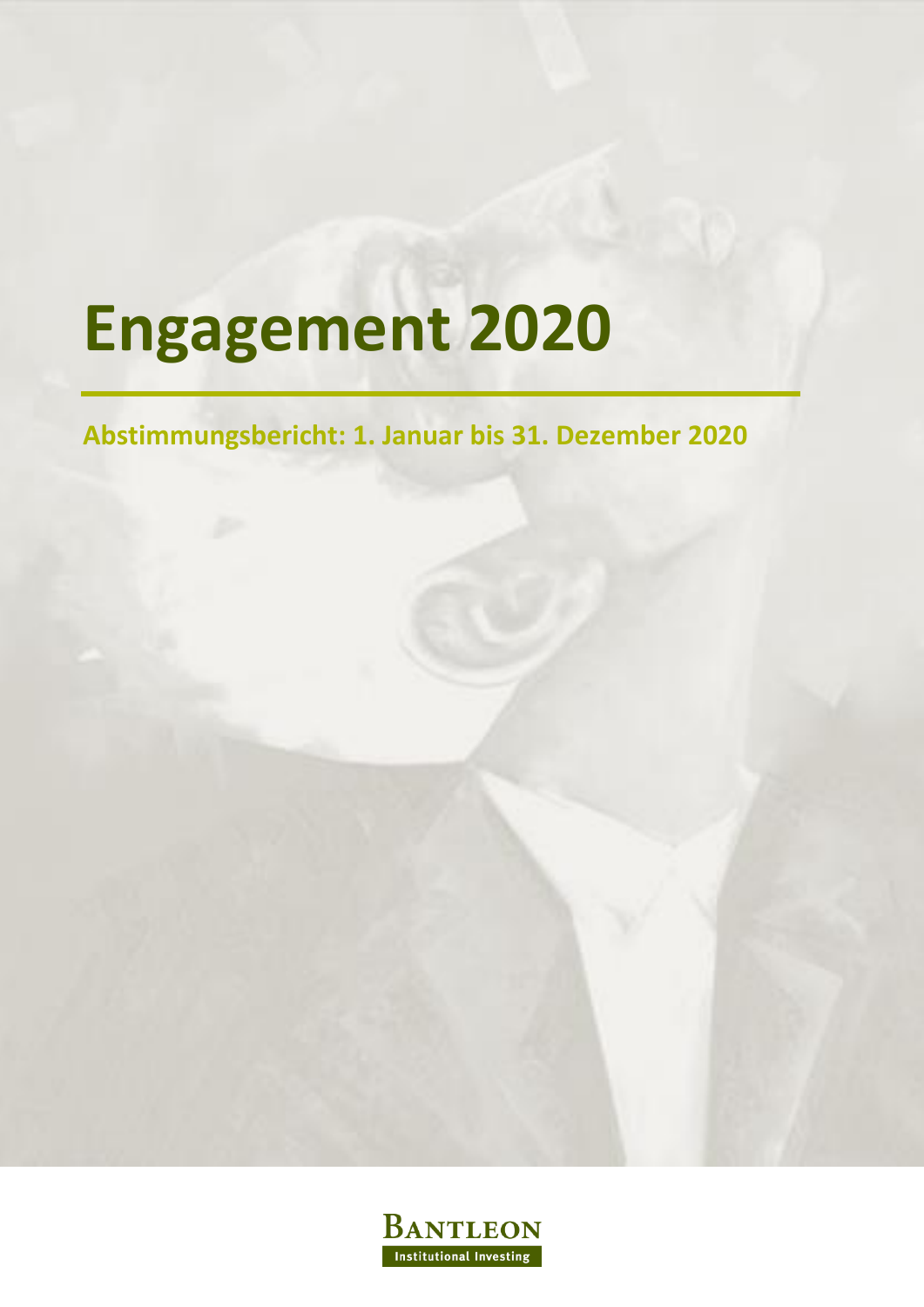# **Engagement 2020**

### **Abstimmungsbericht: 1. Januar bis 31. Dezember 2020**

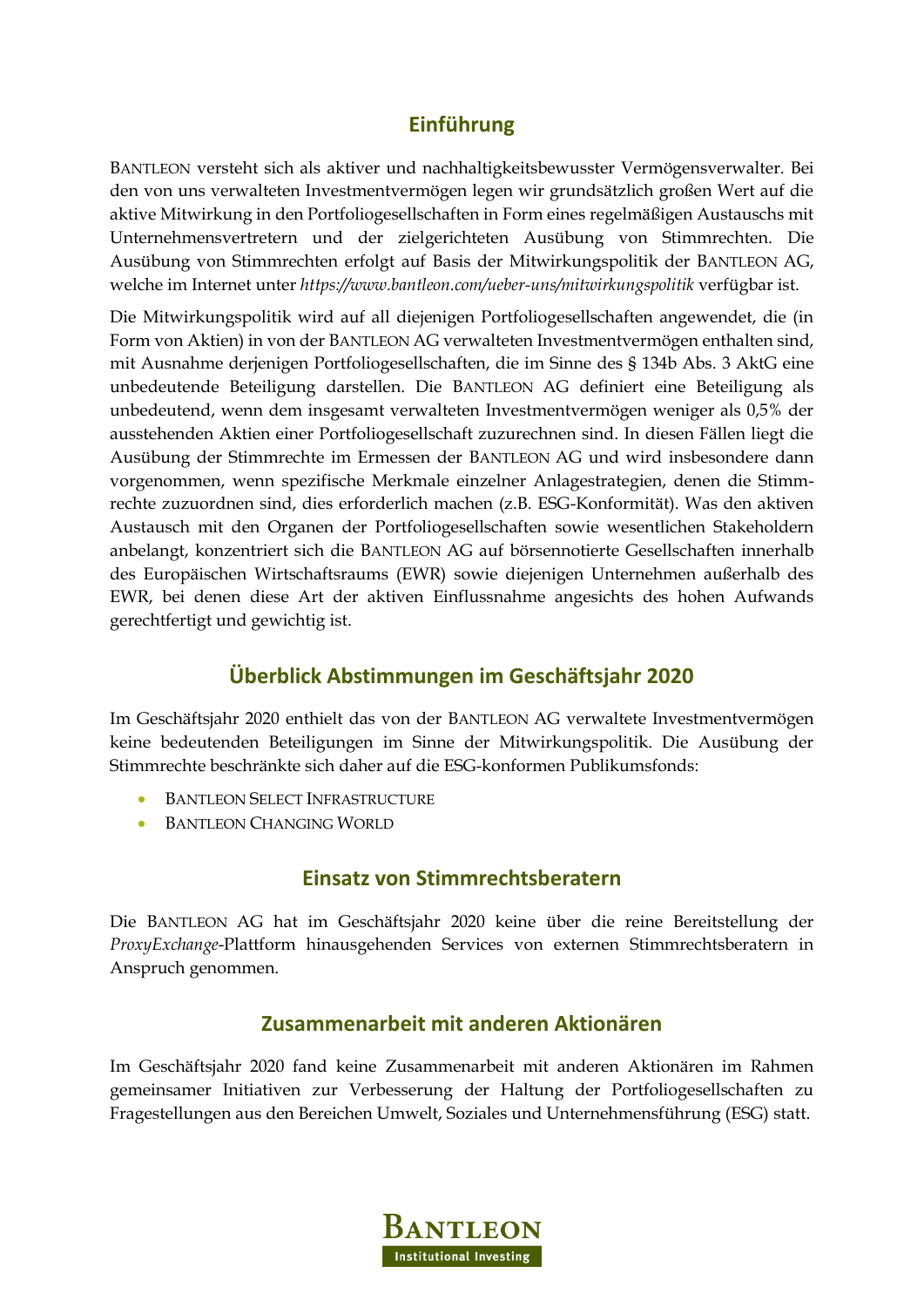### **Einführung**

BANTLEON versteht sich als aktiver und nachhaltigkeitsbewusster Vermögensverwalter. Bei den von uns verwalteten Investmentvermögen legen wir grundsätzlich großen Wert auf die aktive Mitwirkung in den Portfoliogesellschaften in Form eines regelmäßigen Austauschs mit Unternehmensvertretern und der zielgerichteten Ausübung von Stimmrechten. Die Ausübung von Stimmrechten erfolgt auf Basis der Mitwirkungspolitik der BANTLEON AG, welche im Internet unter *https://www.bantleon.com/ueber-uns/mitwirkungspolitik* verfügbar ist.

Die Mitwirkungspolitik wird auf all diejenigen Portfoliogesellschaften angewendet, die (in Form von Aktien) in von der BANTLEON AG verwalteten Investmentvermögen enthalten sind, mit Ausnahme derjenigen Portfoliogesellschaften, die im Sinne des § 134b Abs. 3 AktG eine unbedeutende Beteiligung darstellen. Die BANTLEON AG definiert eine Beteiligung als unbedeutend, wenn dem insgesamt verwalteten Investmentvermögen weniger als 0,5% der ausstehenden Aktien einer Portfoliogesellschaft zuzurechnen sind. In diesen Fällen liegt die Ausübung der Stimmrechte im Ermessen der BANTLEON AG und wird insbesondere dann vorgenommen, wenn spezifische Merkmale einzelner Anlagestrategien, denen die Stimmrechte zuzuordnen sind, dies erforderlich machen (z.B. ESG-Konformität). Was den aktiven Austausch mit den Organen der Portfoliogesellschaften sowie wesentlichen Stakeholdern anbelangt, konzentriert sich die BANTLEON AG auf börsennotierte Gesellschaften innerhalb des Europäischen Wirtschaftsraums (EWR) sowie diejenigen Unternehmen außerhalb des EWR, bei denen diese Art der aktiven Einflussnahme angesichts des hohen Aufwands gerechtfertigt und gewichtig ist.

### **Überblick Abstimmungen im Geschäftsjahr 2020**

Im Geschäftsjahr 2020 enthielt das von der BANTLEON AG verwaltete Investmentvermögen keine bedeutenden Beteiligungen im Sinne der Mitwirkungspolitik. Die Ausübung der Stimmrechte beschränkte sich daher auf die ESG-konformen Publikumsfonds:

- **BANTLEON SELECT INFRASTRUCTURE**
- **BANTLEON CHANGING WORLD**

### **Einsatz von Stimmrechtsberatern**

Die BANTLEON AG hat im Geschäftsjahr 2020 keine über die reine Bereitstellung der *ProxyExchange*-Plattform hinausgehenden Services von externen Stimmrechtsberatern in Anspruch genommen.

### **Zusammenarbeit mit anderen Aktionären**

Im Geschäftsjahr 2020 fand keine Zusammenarbeit mit anderen Aktionären im Rahmen gemeinsamer Initiativen zur Verbesserung der Haltung der Portfoliogesellschaften zu Fragestellungen aus den Bereichen Umwelt, Soziales und Unternehmensführung (ESG) statt.

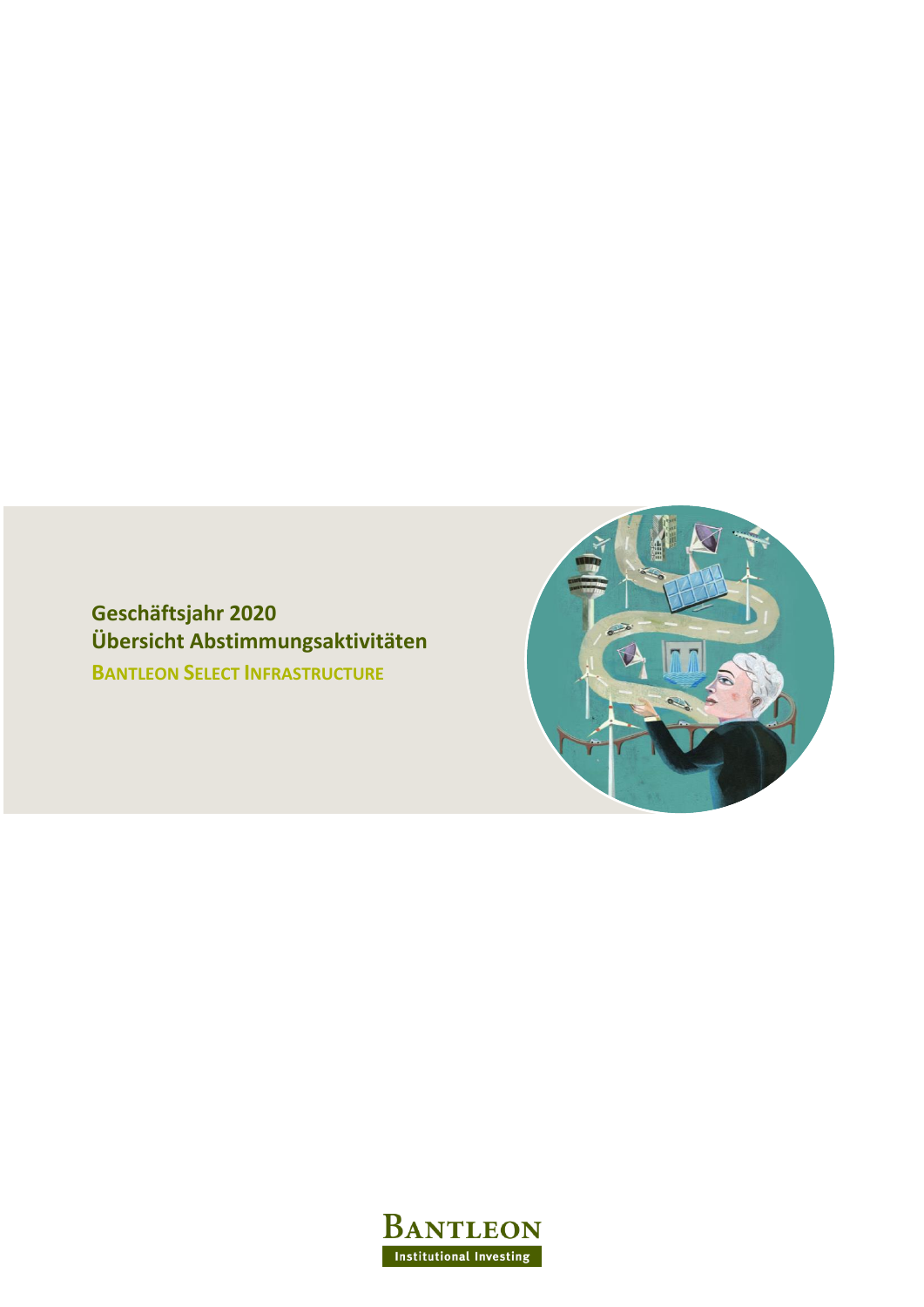**Geschäftsjahr 2020 Übersicht Abstimmungsaktivitäten BANTLEON SELECT INFRASTRUCTURE**



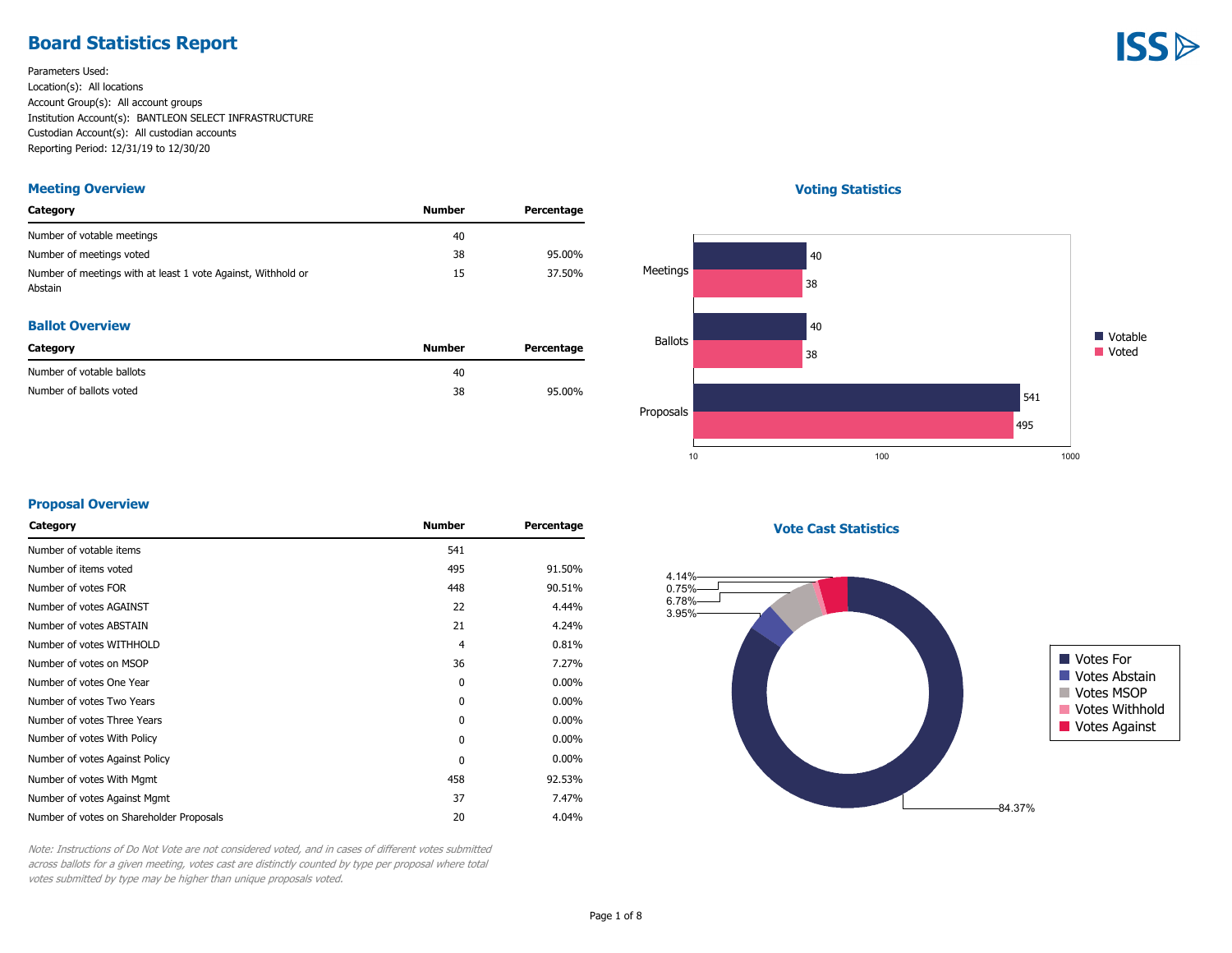### **Board Statistics Report**

Parameters Used: Location(s): All locations Account Group(s): All account groups Institution Account(s): BANTLEON SELECT INFRASTRUCTURE Custodian Account(s): All custodian accounts Reporting Period: 12/31/19 to 12/30/20

#### **Meeting Overview**

| Category                                                                | Number | Percentage |
|-------------------------------------------------------------------------|--------|------------|
| Number of votable meetings                                              | 40     |            |
| Number of meetings voted                                                | 38     | 95.00%     |
| Number of meetings with at least 1 vote Against, Withhold or<br>Abstain | 15     | 37.50%     |

#### **Ballot Overview**

| Category                  | Number | Percentage |
|---------------------------|--------|------------|
| Number of votable ballots | 40     |            |
| Number of ballots voted   | 38     | 95.00%     |

#### **Voting Statistics**



#### **Proposal Overview**

| Category                                 | <b>Number</b> | Percentage |
|------------------------------------------|---------------|------------|
| Number of votable items                  | 541           |            |
| Number of items voted                    | 495           | 91.50%     |
| Number of votes FOR                      | 448           | 90.51%     |
| Number of votes AGAINST                  | 22            | 4.44%      |
| Number of votes ABSTAIN                  | 21            | 4.24%      |
| Number of votes WITHHOLD                 | 4             | 0.81%      |
| Number of votes on MSOP                  | 36            | 7.27%      |
| Number of votes One Year                 | 0             | $0.00\%$   |
| Number of votes Two Years                | 0             | $0.00\%$   |
| Number of votes Three Years              | 0             | $0.00\%$   |
| Number of votes With Policy              | $\mathbf{0}$  | $0.00\%$   |
| Number of votes Against Policy           | $\mathbf{0}$  | $0.00\%$   |
| Number of votes With Mgmt                | 458           | 92.53%     |
| Number of votes Against Mgmt             | 37            | 7.47%      |
| Number of votes on Shareholder Proposals | 20            | 4.04%      |

**Vote Cast Statistics**



Note: Instructions of Do Not Vote are not considered voted, and in cases of different votes submitted across ballots for a given meeting, votes cast are distinctly counted by type per proposal where total votes submitted by type may be higher than unique proposals voted.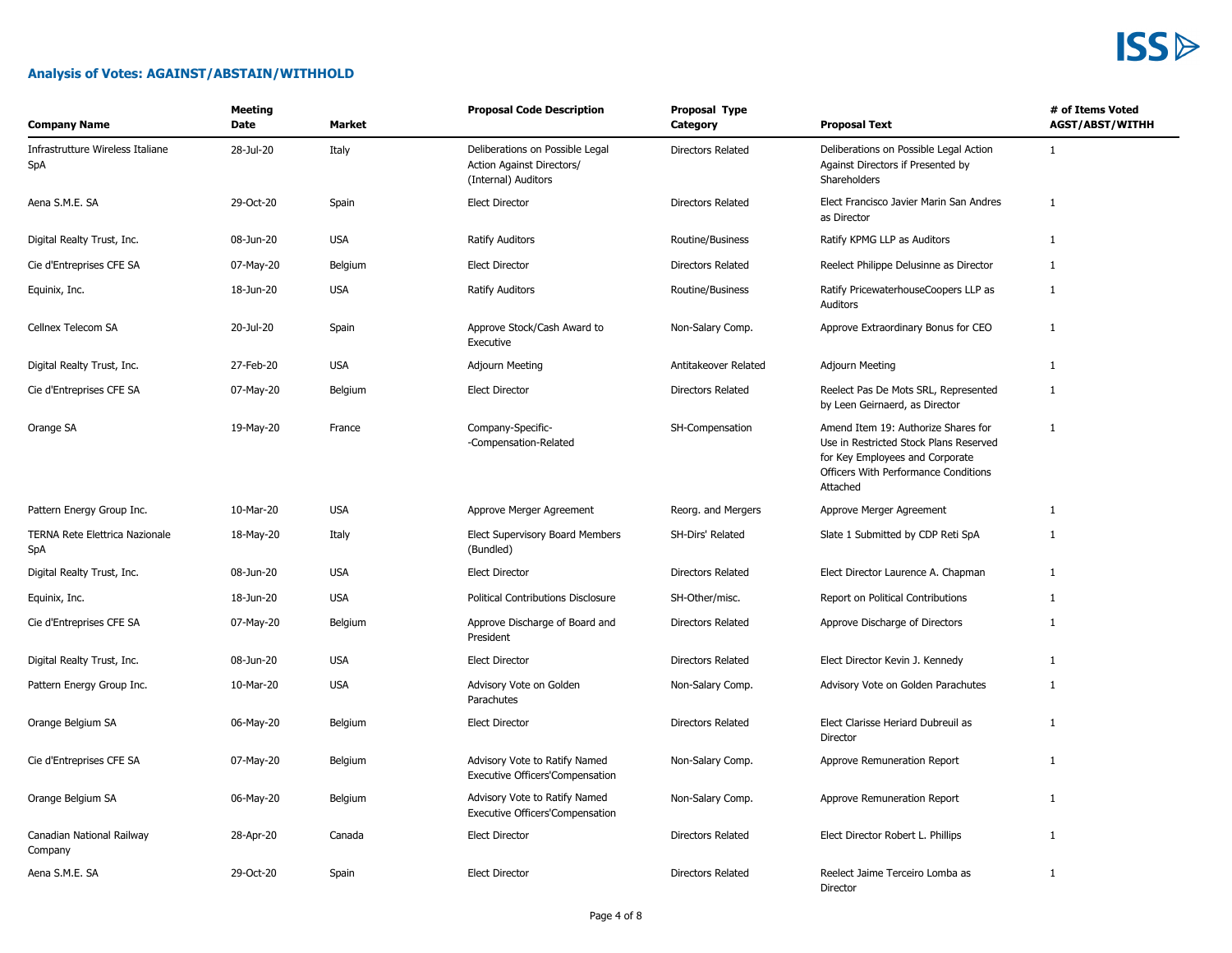#### **Analysis of Votes: AGAINST/ABSTAIN/WITHHOLD**

| <b>Company Name</b>                     | <b>Meeting</b><br>Date | Market     | <b>Proposal Code Description</b>                                                    | Proposal Type<br>Category | <b>Proposal Text</b>                                                                                                                                                        | # of Items Voted<br><b>AGST/ABST/WITHH</b> |
|-----------------------------------------|------------------------|------------|-------------------------------------------------------------------------------------|---------------------------|-----------------------------------------------------------------------------------------------------------------------------------------------------------------------------|--------------------------------------------|
| Infrastrutture Wireless Italiane<br>SpA | 28-Jul-20              | Italy      | Deliberations on Possible Legal<br>Action Against Directors/<br>(Internal) Auditors | <b>Directors Related</b>  | Deliberations on Possible Legal Action<br>Against Directors if Presented by<br>Shareholders                                                                                 | 1                                          |
| Aena S.M.E. SA                          | 29-Oct-20              | Spain      | <b>Elect Director</b>                                                               | Directors Related         | Elect Francisco Javier Marin San Andres<br>as Director                                                                                                                      | $\mathbf{1}$                               |
| Digital Realty Trust, Inc.              | 08-Jun-20              | <b>USA</b> | Ratify Auditors                                                                     | Routine/Business          | Ratify KPMG LLP as Auditors                                                                                                                                                 | $\mathbf{1}$                               |
| Cie d'Entreprises CFE SA                | 07-May-20              | Belgium    | <b>Elect Director</b>                                                               | Directors Related         | Reelect Philippe Delusinne as Director                                                                                                                                      | $\mathbf{1}$                               |
| Equinix, Inc.                           | 18-Jun-20              | <b>USA</b> | <b>Ratify Auditors</b>                                                              | Routine/Business          | Ratify PricewaterhouseCoopers LLP as<br>Auditors                                                                                                                            | 1                                          |
| Cellnex Telecom SA                      | 20-Jul-20              | Spain      | Approve Stock/Cash Award to<br>Executive                                            | Non-Salary Comp.          | Approve Extraordinary Bonus for CEO                                                                                                                                         | 1                                          |
| Digital Realty Trust, Inc.              | 27-Feb-20              | <b>USA</b> | Adjourn Meeting                                                                     | Antitakeover Related      | <b>Adjourn Meeting</b>                                                                                                                                                      | 1                                          |
| Cie d'Entreprises CFE SA                | 07-May-20              | Belgium    | <b>Elect Director</b>                                                               | Directors Related         | Reelect Pas De Mots SRL, Represented<br>by Leen Geirnaerd, as Director                                                                                                      | $\mathbf{1}$                               |
| Orange SA                               | 19-May-20              | France     | Company-Specific-<br>-Compensation-Related                                          | SH-Compensation           | Amend Item 19: Authorize Shares for<br>Use in Restricted Stock Plans Reserved<br>for Key Employees and Corporate<br><b>Officers With Performance Conditions</b><br>Attached | $\mathbf{1}$                               |
| Pattern Energy Group Inc.               | 10-Mar-20              | <b>USA</b> | Approve Merger Agreement                                                            | Reorg. and Mergers        | Approve Merger Agreement                                                                                                                                                    | $\mathbf{1}$                               |
| TERNA Rete Elettrica Nazionale<br>SpA   | 18-May-20              | Italy      | Elect Supervisory Board Members<br>(Bundled)                                        | SH-Dirs' Related          | Slate 1 Submitted by CDP Reti SpA                                                                                                                                           | 1                                          |
| Digital Realty Trust, Inc.              | 08-Jun-20              | <b>USA</b> | <b>Elect Director</b>                                                               | <b>Directors Related</b>  | Elect Director Laurence A. Chapman                                                                                                                                          | 1                                          |
| Equinix, Inc.                           | 18-Jun-20              | <b>USA</b> | <b>Political Contributions Disclosure</b>                                           | SH-Other/misc.            | Report on Political Contributions                                                                                                                                           | $\mathbf{1}$                               |
| Cie d'Entreprises CFE SA                | 07-May-20              | Belgium    | Approve Discharge of Board and<br>President                                         | Directors Related         | Approve Discharge of Directors                                                                                                                                              | $\mathbf{1}$                               |
| Digital Realty Trust, Inc.              | 08-Jun-20              | <b>USA</b> | <b>Elect Director</b>                                                               | Directors Related         | Elect Director Kevin J. Kennedy                                                                                                                                             | 1                                          |
| Pattern Energy Group Inc.               | 10-Mar-20              | <b>USA</b> | Advisory Vote on Golden<br>Parachutes                                               | Non-Salary Comp.          | Advisory Vote on Golden Parachutes                                                                                                                                          | $\mathbf{1}$                               |
| Orange Belgium SA                       | 06-May-20              | Belgium    | <b>Elect Director</b>                                                               | Directors Related         | Elect Clarisse Heriard Dubreuil as<br>Director                                                                                                                              | $\mathbf{1}$                               |
| Cie d'Entreprises CFE SA                | 07-May-20              | Belgium    | Advisory Vote to Ratify Named<br><b>Executive Officers'Compensation</b>             | Non-Salary Comp.          | Approve Remuneration Report                                                                                                                                                 | 1                                          |
| Orange Belgium SA                       | 06-May-20              | Belgium    | Advisory Vote to Ratify Named<br>Executive Officers'Compensation                    | Non-Salary Comp.          | Approve Remuneration Report                                                                                                                                                 | $\mathbf{1}$                               |
| Canadian National Railway<br>Company    | 28-Apr-20              | Canada     | <b>Elect Director</b>                                                               | Directors Related         | Elect Director Robert L. Phillips                                                                                                                                           | $\mathbf{1}$                               |
| Aena S.M.E. SA                          | 29-Oct-20              | Spain      | <b>Elect Director</b>                                                               | <b>Directors Related</b>  | Reelect Jaime Terceiro Lomba as<br>Director                                                                                                                                 | 1                                          |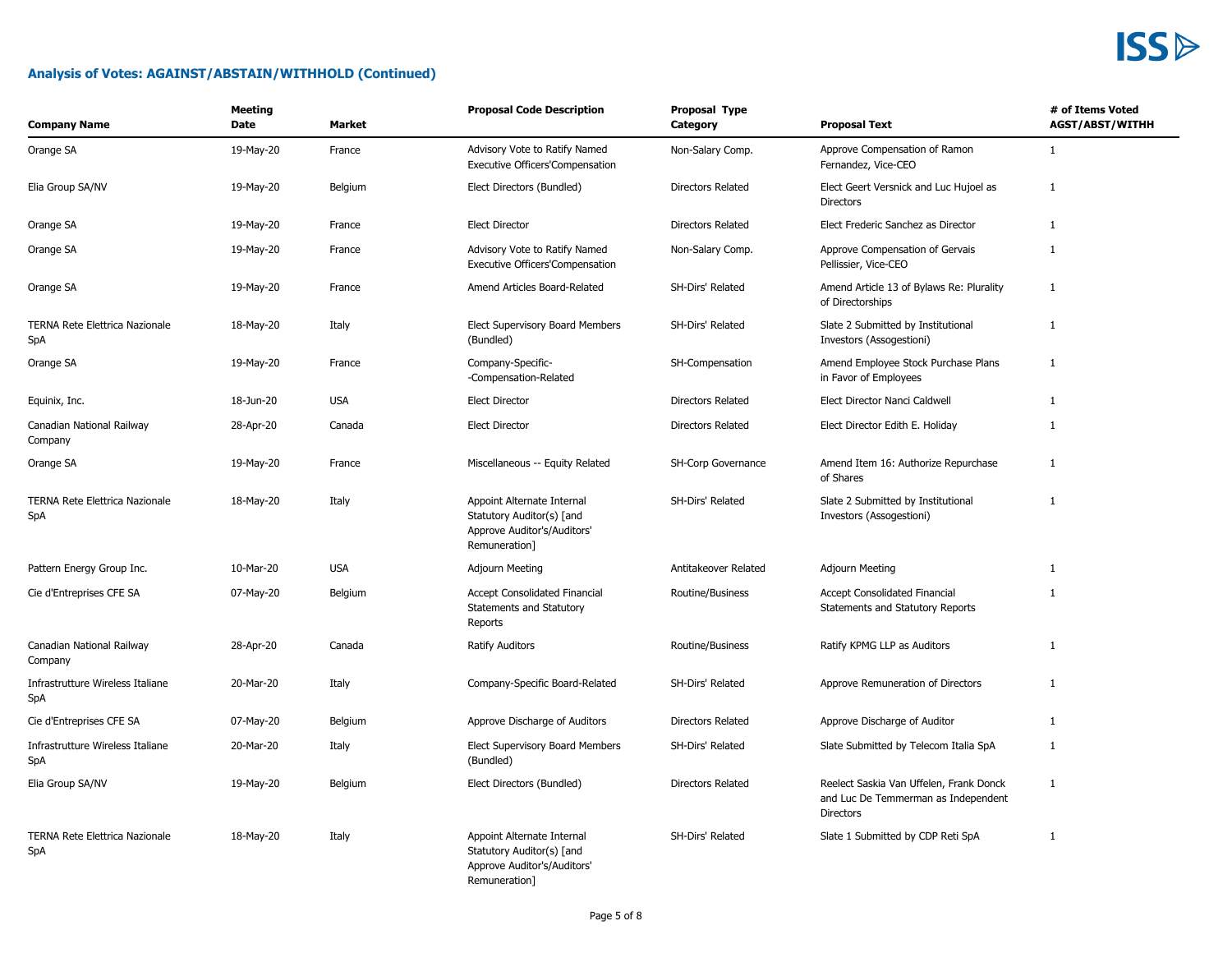| <b>Company Name</b>                          | <b>Meeting</b><br>Date | <b>Market</b> | <b>Proposal Code Description</b>                                                                        | Proposal Type<br>Category | <b>Proposal Text</b>                                                                               | # of Items Voted<br><b>AGST/ABST/WITHH</b> |
|----------------------------------------------|------------------------|---------------|---------------------------------------------------------------------------------------------------------|---------------------------|----------------------------------------------------------------------------------------------------|--------------------------------------------|
| Orange SA                                    | 19-May-20              | France        | Advisory Vote to Ratify Named<br><b>Executive Officers'Compensation</b>                                 | Non-Salary Comp.          | Approve Compensation of Ramon<br>Fernandez, Vice-CEO                                               | $\mathbf{1}$                               |
| Elia Group SA/NV                             | 19-May-20              | Belgium       | Elect Directors (Bundled)                                                                               | Directors Related         | Elect Geert Versnick and Luc Hujoel as<br><b>Directors</b>                                         | $\mathbf{1}$                               |
| Orange SA                                    | 19-May-20              | France        | <b>Elect Director</b>                                                                                   | Directors Related         | Elect Frederic Sanchez as Director                                                                 | $\mathbf{1}$                               |
| Orange SA                                    | 19-May-20              | France        | Advisory Vote to Ratify Named<br><b>Executive Officers'Compensation</b>                                 | Non-Salary Comp.          | Approve Compensation of Gervais<br>Pellissier, Vice-CEO                                            | $\mathbf{1}$                               |
| Orange SA                                    | 19-May-20              | France        | Amend Articles Board-Related                                                                            | SH-Dirs' Related          | Amend Article 13 of Bylaws Re: Plurality<br>of Directorships                                       | 1                                          |
| <b>TERNA Rete Elettrica Nazionale</b><br>SpA | 18-May-20              | Italy         | Elect Supervisory Board Members<br>(Bundled)                                                            | SH-Dirs' Related          | Slate 2 Submitted by Institutional<br>Investors (Assogestioni)                                     | 1                                          |
| Orange SA                                    | 19-May-20              | France        | Company-Specific-<br>-Compensation-Related                                                              | SH-Compensation           | Amend Employee Stock Purchase Plans<br>in Favor of Employees                                       | $\mathbf{1}$                               |
| Equinix, Inc.                                | 18-Jun-20              | <b>USA</b>    | <b>Elect Director</b>                                                                                   | Directors Related         | Elect Director Nanci Caldwell                                                                      | $\mathbf{1}$                               |
| Canadian National Railway<br>Company         | 28-Apr-20              | Canada        | <b>Elect Director</b>                                                                                   | Directors Related         | Elect Director Edith E. Holiday                                                                    | 1                                          |
| Orange SA                                    | 19-May-20              | France        | Miscellaneous -- Equity Related                                                                         | SH-Corp Governance        | Amend Item 16: Authorize Repurchase<br>of Shares                                                   | $\mathbf{1}$                               |
| TERNA Rete Elettrica Nazionale<br>SpA        | 18-May-20              | Italy         | Appoint Alternate Internal<br>Statutory Auditor(s) [and<br>Approve Auditor's/Auditors'<br>Remuneration] | SH-Dirs' Related          | Slate 2 Submitted by Institutional<br>Investors (Assogestioni)                                     | $\mathbf{1}$                               |
| Pattern Energy Group Inc.                    | 10-Mar-20              | <b>USA</b>    | <b>Adjourn Meeting</b>                                                                                  | Antitakeover Related      | Adjourn Meeting                                                                                    | $\mathbf{1}$                               |
| Cie d'Entreprises CFE SA                     | 07-May-20              | Belgium       | Accept Consolidated Financial<br>Statements and Statutory<br>Reports                                    | Routine/Business          | <b>Accept Consolidated Financial</b><br>Statements and Statutory Reports                           | $\mathbf{1}$                               |
| Canadian National Railway<br>Company         | 28-Apr-20              | Canada        | <b>Ratify Auditors</b>                                                                                  | Routine/Business          | Ratify KPMG LLP as Auditors                                                                        | $\mathbf{1}$                               |
| Infrastrutture Wireless Italiane<br>SpA      | 20-Mar-20              | Italy         | Company-Specific Board-Related                                                                          | SH-Dirs' Related          | Approve Remuneration of Directors                                                                  | $\mathbf{1}$                               |
| Cie d'Entreprises CFE SA                     | 07-May-20              | Belgium       | Approve Discharge of Auditors                                                                           | Directors Related         | Approve Discharge of Auditor                                                                       | $\mathbf{1}$                               |
| Infrastrutture Wireless Italiane<br>SpA      | 20-Mar-20              | Italy         | Elect Supervisory Board Members<br>(Bundled)                                                            | SH-Dirs' Related          | Slate Submitted by Telecom Italia SpA                                                              | $\mathbf{1}$                               |
| Elia Group SA/NV                             | 19-May-20              | Belgium       | Elect Directors (Bundled)                                                                               | Directors Related         | Reelect Saskia Van Uffelen, Frank Donck<br>and Luc De Temmerman as Independent<br><b>Directors</b> | $\mathbf{1}$                               |
| TERNA Rete Elettrica Nazionale<br>SpA        | 18-May-20              | Italy         | Appoint Alternate Internal<br>Statutory Auditor(s) [and<br>Approve Auditor's/Auditors'<br>Remuneration] | SH-Dirs' Related          | Slate 1 Submitted by CDP Reti SpA                                                                  | $\mathbf{1}$                               |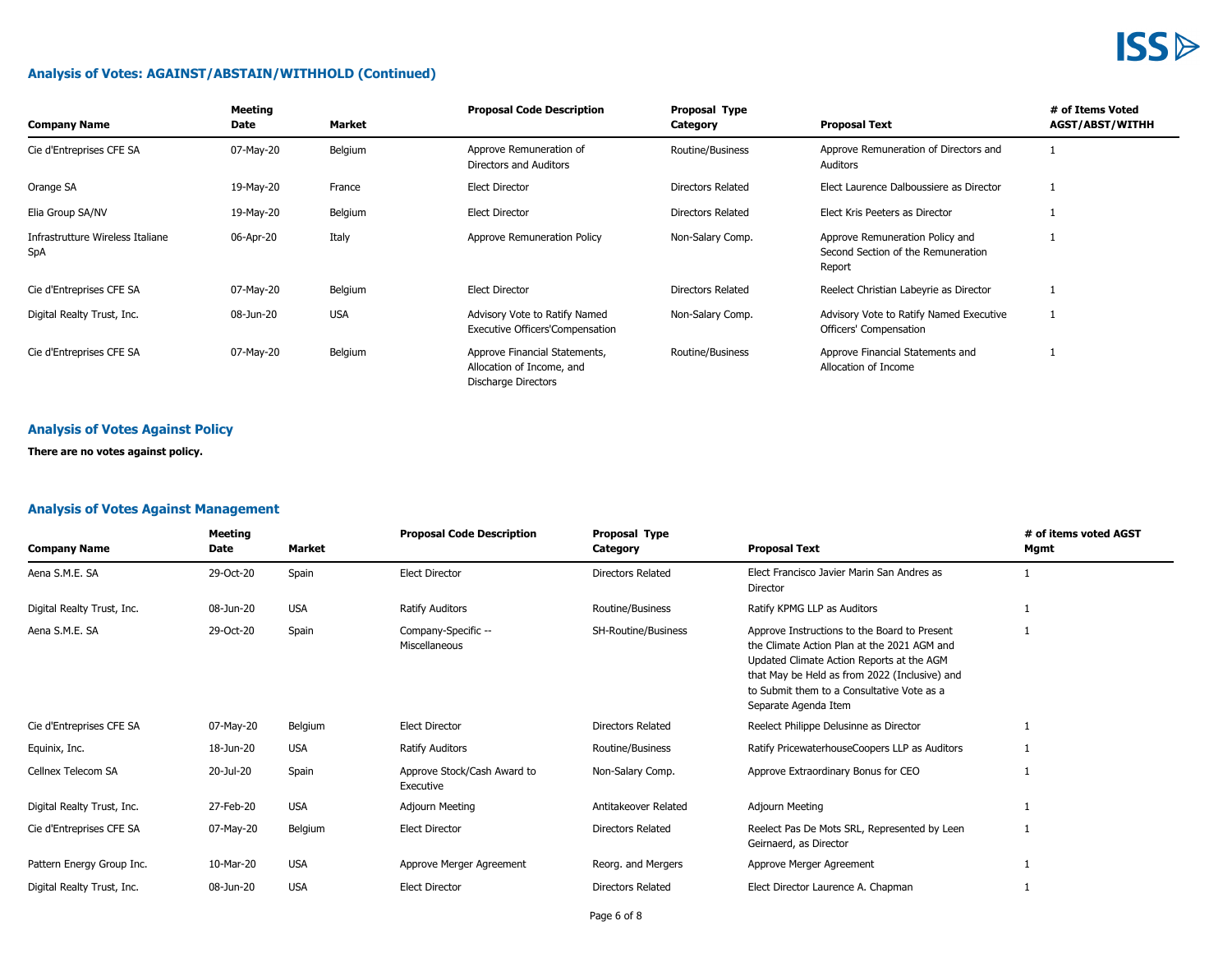#### **Analysis of Votes: AGAINST/ABSTAIN/WITHHOLD (Continued)**

| <b>Company Name</b>                     | Meeting<br>Date | Market     | <b>Proposal Code Description</b>                                                  | Proposal Type<br>Category | <b>Proposal Text</b>                                                            | # of Items Voted<br><b>AGST/ABST/WITHH</b> |
|-----------------------------------------|-----------------|------------|-----------------------------------------------------------------------------------|---------------------------|---------------------------------------------------------------------------------|--------------------------------------------|
| Cie d'Entreprises CFE SA                | 07-May-20       | Belgium    | Approve Remuneration of<br>Directors and Auditors                                 | Routine/Business          | Approve Remuneration of Directors and<br>Auditors                               |                                            |
| Orange SA                               | 19-May-20       | France     | Elect Director                                                                    | Directors Related         | Elect Laurence Dalboussiere as Director                                         |                                            |
| Elia Group SA/NV                        | 19-May-20       | Belgium    | Elect Director                                                                    | Directors Related         | Elect Kris Peeters as Director                                                  |                                            |
| Infrastrutture Wireless Italiane<br>SpA | 06-Apr-20       | Italy      | Approve Remuneration Policy                                                       | Non-Salary Comp.          | Approve Remuneration Policy and<br>Second Section of the Remuneration<br>Report |                                            |
| Cie d'Entreprises CFE SA                | 07-May-20       | Belgium    | <b>Elect Director</b>                                                             | Directors Related         | Reelect Christian Labeyrie as Director                                          |                                            |
| Digital Realty Trust, Inc.              | 08-Jun-20       | <b>USA</b> | Advisory Vote to Ratify Named<br><b>Executive Officers'Compensation</b>           | Non-Salary Comp.          | Advisory Vote to Ratify Named Executive<br>Officers' Compensation               |                                            |
| Cie d'Entreprises CFE SA                | 07-May-20       | Belgium    | Approve Financial Statements,<br>Allocation of Income, and<br>Discharge Directors | Routine/Business          | Approve Financial Statements and<br>Allocation of Income                        |                                            |

#### **Analysis of Votes Against Policy**

**There are no votes against policy.**

#### **Analysis of Votes Against Management**

| <b>Company Name</b>        | Meeting<br>Date | Market     | <b>Proposal Code Description</b>         | Proposal Type<br>Category | <b>Proposal Text</b>                                                                                                                                                                                                                                            | # of items voted AGST<br>Mgmt |
|----------------------------|-----------------|------------|------------------------------------------|---------------------------|-----------------------------------------------------------------------------------------------------------------------------------------------------------------------------------------------------------------------------------------------------------------|-------------------------------|
| Aena S.M.E. SA             | 29-Oct-20       | Spain      | <b>Elect Director</b>                    | Directors Related         | Elect Francisco Javier Marin San Andres as<br>Director                                                                                                                                                                                                          |                               |
| Digital Realty Trust, Inc. | 08-Jun-20       | <b>USA</b> | Ratify Auditors                          | Routine/Business          | Ratify KPMG LLP as Auditors                                                                                                                                                                                                                                     |                               |
| Aena S.M.E. SA             | 29-Oct-20       | Spain      | Company-Specific --<br>Miscellaneous     | SH-Routine/Business       | Approve Instructions to the Board to Present<br>the Climate Action Plan at the 2021 AGM and<br>Updated Climate Action Reports at the AGM<br>that May be Held as from 2022 (Inclusive) and<br>to Submit them to a Consultative Vote as a<br>Separate Agenda Item |                               |
| Cie d'Entreprises CFE SA   | 07-May-20       | Belgium    | <b>Elect Director</b>                    | <b>Directors Related</b>  | Reelect Philippe Delusinne as Director                                                                                                                                                                                                                          |                               |
| Equinix, Inc.              | 18-Jun-20       | <b>USA</b> | Ratify Auditors                          | Routine/Business          | Ratify PricewaterhouseCoopers LLP as Auditors                                                                                                                                                                                                                   |                               |
| Cellnex Telecom SA         | 20-Jul-20       | Spain      | Approve Stock/Cash Award to<br>Executive | Non-Salary Comp.          | Approve Extraordinary Bonus for CEO                                                                                                                                                                                                                             |                               |
| Digital Realty Trust, Inc. | 27-Feb-20       | <b>USA</b> | Adjourn Meeting                          | Antitakeover Related      | Adjourn Meeting                                                                                                                                                                                                                                                 |                               |
| Cie d'Entreprises CFE SA   | 07-May-20       | Belgium    | <b>Elect Director</b>                    | <b>Directors Related</b>  | Reelect Pas De Mots SRL, Represented by Leen<br>Geirnaerd, as Director                                                                                                                                                                                          |                               |
| Pattern Energy Group Inc.  | 10-Mar-20       | <b>USA</b> | Approve Merger Agreement                 | Reorg. and Mergers        | Approve Merger Agreement                                                                                                                                                                                                                                        |                               |
| Digital Realty Trust, Inc. | 08-Jun-20       | <b>USA</b> | <b>Elect Director</b>                    | <b>Directors Related</b>  | Elect Director Laurence A. Chapman                                                                                                                                                                                                                              |                               |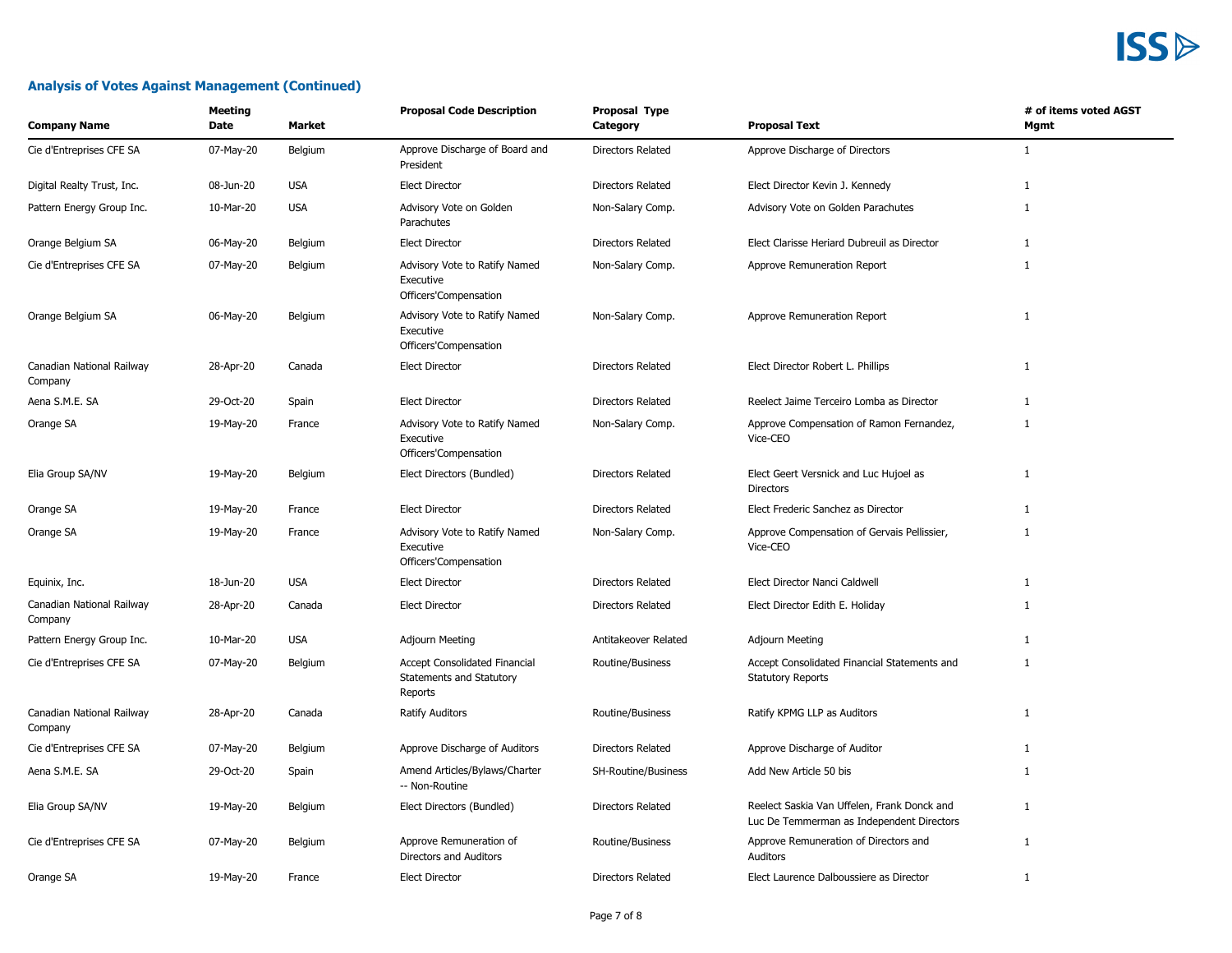| <b>Company Name</b>                  | Meeting<br>Date | <b>Market</b> | <b>Proposal Code Description</b>                                            | <b>Proposal Type</b><br>Category | <b>Proposal Text</b>                                                                     | # of items voted AGST<br>Mgmt |
|--------------------------------------|-----------------|---------------|-----------------------------------------------------------------------------|----------------------------------|------------------------------------------------------------------------------------------|-------------------------------|
| Cie d'Entreprises CFE SA             | 07-May-20       | Belgium       | Approve Discharge of Board and<br>President                                 | <b>Directors Related</b>         | Approve Discharge of Directors                                                           | $\mathbf{1}$                  |
| Digital Realty Trust, Inc.           | 08-Jun-20       | <b>USA</b>    | <b>Elect Director</b>                                                       | <b>Directors Related</b>         | Elect Director Kevin J. Kennedy                                                          | 1                             |
| Pattern Energy Group Inc.            | 10-Mar-20       | <b>USA</b>    | Advisory Vote on Golden<br>Parachutes                                       | Non-Salary Comp.                 | Advisory Vote on Golden Parachutes                                                       | $\mathbf{1}$                  |
| Orange Belgium SA                    | 06-May-20       | Belgium       | <b>Elect Director</b>                                                       | <b>Directors Related</b>         | Elect Clarisse Heriard Dubreuil as Director                                              | 1                             |
| Cie d'Entreprises CFE SA             | 07-May-20       | Belgium       | Advisory Vote to Ratify Named<br>Executive<br>Officers'Compensation         | Non-Salary Comp.                 | Approve Remuneration Report                                                              | $\mathbf{1}$                  |
| Orange Belgium SA                    | 06-May-20       | Belgium       | Advisory Vote to Ratify Named<br>Executive<br>Officers'Compensation         | Non-Salary Comp.                 | Approve Remuneration Report                                                              | $\mathbf{1}$                  |
| Canadian National Railway<br>Company | 28-Apr-20       | Canada        | <b>Elect Director</b>                                                       | <b>Directors Related</b>         | Elect Director Robert L. Phillips                                                        | 1                             |
| Aena S.M.E. SA                       | 29-Oct-20       | Spain         | <b>Elect Director</b>                                                       | <b>Directors Related</b>         | Reelect Jaime Terceiro Lomba as Director                                                 | 1                             |
| Orange SA                            | 19-May-20       | France        | Advisory Vote to Ratify Named<br>Executive<br>Officers'Compensation         | Non-Salary Comp.                 | Approve Compensation of Ramon Fernandez,<br>Vice-CEO                                     | $\mathbf{1}$                  |
| Elia Group SA/NV                     | 19-May-20       | Belgium       | Elect Directors (Bundled)                                                   | <b>Directors Related</b>         | Elect Geert Versnick and Luc Hujoel as<br><b>Directors</b>                               | 1                             |
| Orange SA                            | 19-May-20       | France        | <b>Elect Director</b>                                                       | <b>Directors Related</b>         | Elect Frederic Sanchez as Director                                                       | $\mathbf{1}$                  |
| Orange SA                            | 19-May-20       | France        | Advisory Vote to Ratify Named<br>Executive<br>Officers'Compensation         | Non-Salary Comp.                 | Approve Compensation of Gervais Pellissier,<br>Vice-CEO                                  | $\mathbf{1}$                  |
| Equinix, Inc.                        | 18-Jun-20       | <b>USA</b>    | <b>Elect Director</b>                                                       | <b>Directors Related</b>         | Elect Director Nanci Caldwell                                                            | 1                             |
| Canadian National Railway<br>Company | 28-Apr-20       | Canada        | <b>Elect Director</b>                                                       | <b>Directors Related</b>         | Elect Director Edith E. Holiday                                                          | $\mathbf{1}$                  |
| Pattern Energy Group Inc.            | 10-Mar-20       | <b>USA</b>    | Adjourn Meeting                                                             | Antitakeover Related             | Adjourn Meeting                                                                          | $\mathbf{1}$                  |
| Cie d'Entreprises CFE SA             | 07-May-20       | Belgium       | <b>Accept Consolidated Financial</b><br>Statements and Statutory<br>Reports | Routine/Business                 | Accept Consolidated Financial Statements and<br><b>Statutory Reports</b>                 | $\mathbf{1}$                  |
| Canadian National Railway<br>Company | 28-Apr-20       | Canada        | <b>Ratify Auditors</b>                                                      | Routine/Business                 | Ratify KPMG LLP as Auditors                                                              | $\mathbf{1}$                  |
| Cie d'Entreprises CFE SA             | 07-May-20       | Belgium       | Approve Discharge of Auditors                                               | <b>Directors Related</b>         | Approve Discharge of Auditor                                                             | $\mathbf{1}$                  |
| Aena S.M.E. SA                       | 29-Oct-20       | Spain         | Amend Articles/Bylaws/Charter<br>-- Non-Routine                             | SH-Routine/Business              | Add New Article 50 bis                                                                   | $\mathbf{1}$                  |
| Elia Group SA/NV                     | 19-May-20       | Belgium       | Elect Directors (Bundled)                                                   | <b>Directors Related</b>         | Reelect Saskia Van Uffelen, Frank Donck and<br>Luc De Temmerman as Independent Directors | $\mathbf{1}$                  |
| Cie d'Entreprises CFE SA             | 07-May-20       | Belgium       | Approve Remuneration of<br>Directors and Auditors                           | Routine/Business                 | Approve Remuneration of Directors and<br>Auditors                                        | $\mathbf{1}$                  |
| Orange SA                            | 19-May-20       | France        | <b>Elect Director</b>                                                       | <b>Directors Related</b>         | Elect Laurence Dalboussiere as Director                                                  | 1                             |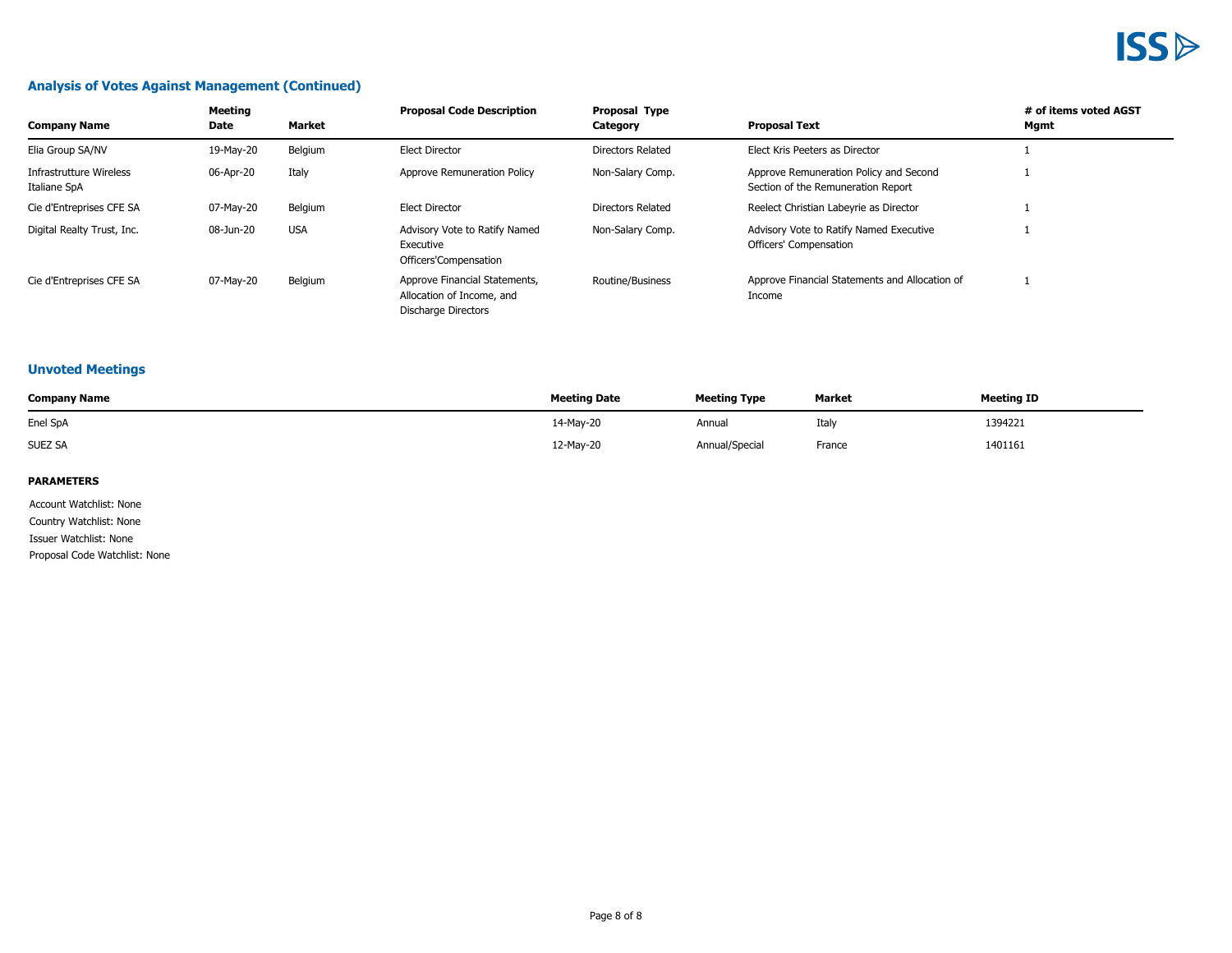#### **Analysis of Votes Against Management (Continued)**

| <b>Company Name</b>                     | Meeting<br>Date | Market     | <b>Proposal Code Description</b>                                                  | <b>Proposal Type</b><br>Category | <b>Proposal Text</b>                                                         | # of items voted AGST<br>Mgmt |
|-----------------------------------------|-----------------|------------|-----------------------------------------------------------------------------------|----------------------------------|------------------------------------------------------------------------------|-------------------------------|
| Elia Group SA/NV                        | 19-May-20       | Belgium    | <b>Elect Director</b>                                                             | Directors Related                | Elect Kris Peeters as Director                                               |                               |
| Infrastrutture Wireless<br>Italiane SpA | 06-Apr-20       | Italy      | Approve Remuneration Policy                                                       | Non-Salary Comp.                 | Approve Remuneration Policy and Second<br>Section of the Remuneration Report |                               |
| Cie d'Entreprises CFE SA                | 07-May-20       | Belgium    | <b>Elect Director</b>                                                             | Directors Related                | Reelect Christian Labeyrie as Director                                       |                               |
| Digital Realty Trust, Inc.              | 08-Jun-20       | <b>USA</b> | Advisory Vote to Ratify Named<br>Executive<br>Officers'Compensation               | Non-Salary Comp.                 | Advisory Vote to Ratify Named Executive<br>Officers' Compensation            |                               |
| Cie d'Entreprises CFE SA                | 07-May-20       | Belgium    | Approve Financial Statements,<br>Allocation of Income, and<br>Discharge Directors | Routine/Business                 | Approve Financial Statements and Allocation of<br>Income                     |                               |

#### **Unvoted Meetings**

| <b>Company Name</b> | <b>Meeting Date</b> | <b>Meeting Type</b> | Market | <b>Meeting ID</b>               |
|---------------------|---------------------|---------------------|--------|---------------------------------|
| Enel SpA            | 14-May-20           | Annual              | Italy  | 1394221<br>$\sim$ $\sim$ $\sim$ |
| <b>SUEZ SA</b>      | 12-May-20           | Annual/Special      | France | 1401161                         |

#### **PARAMETERS**

Account Watchlist: None Country Watchlist: None Issuer Watchlist: None Proposal Code Watchlist: None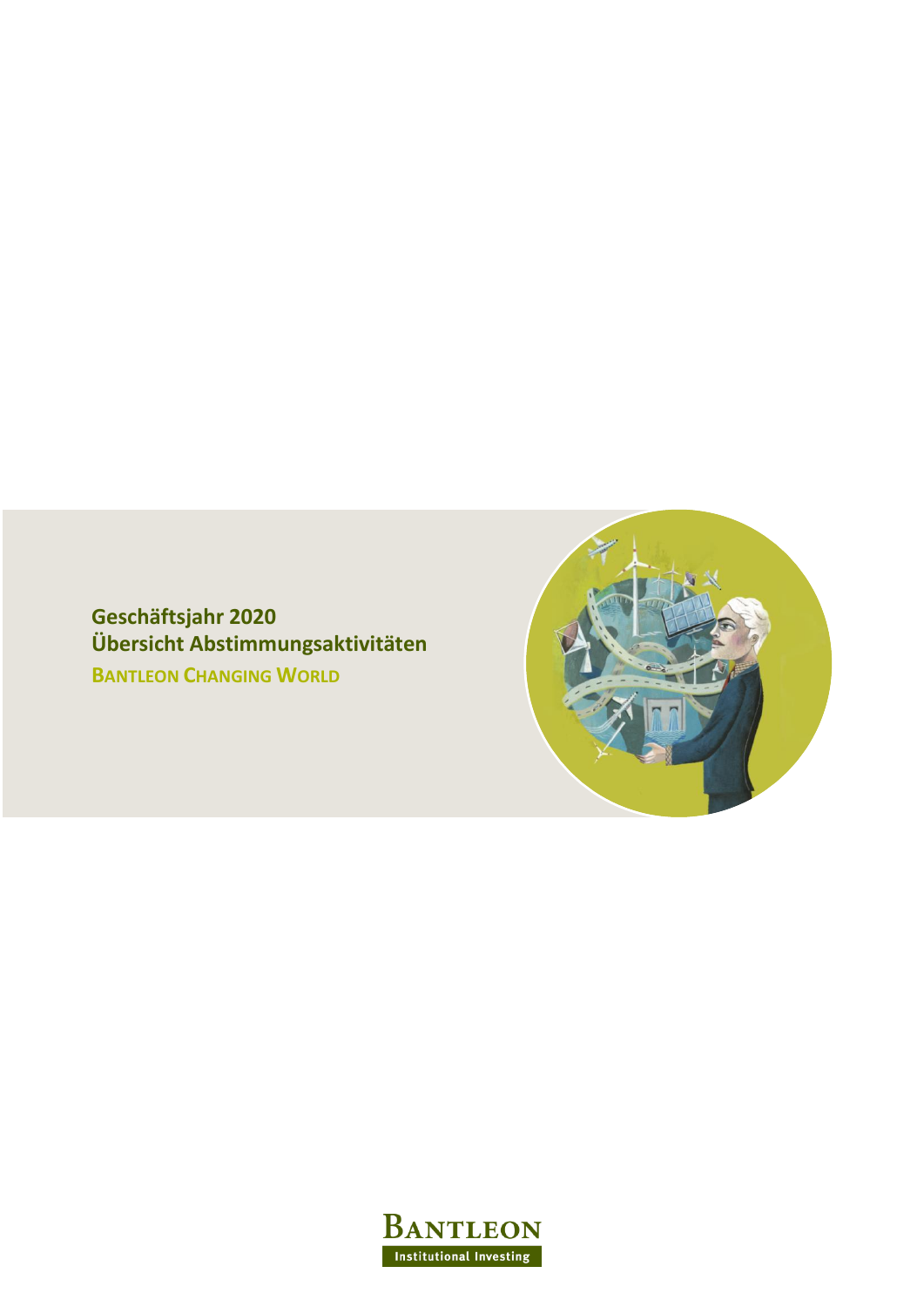**Geschäftsjahr 2020 Übersicht Abstimmungsaktivitäten BANTLEON CHANGING WORLD**



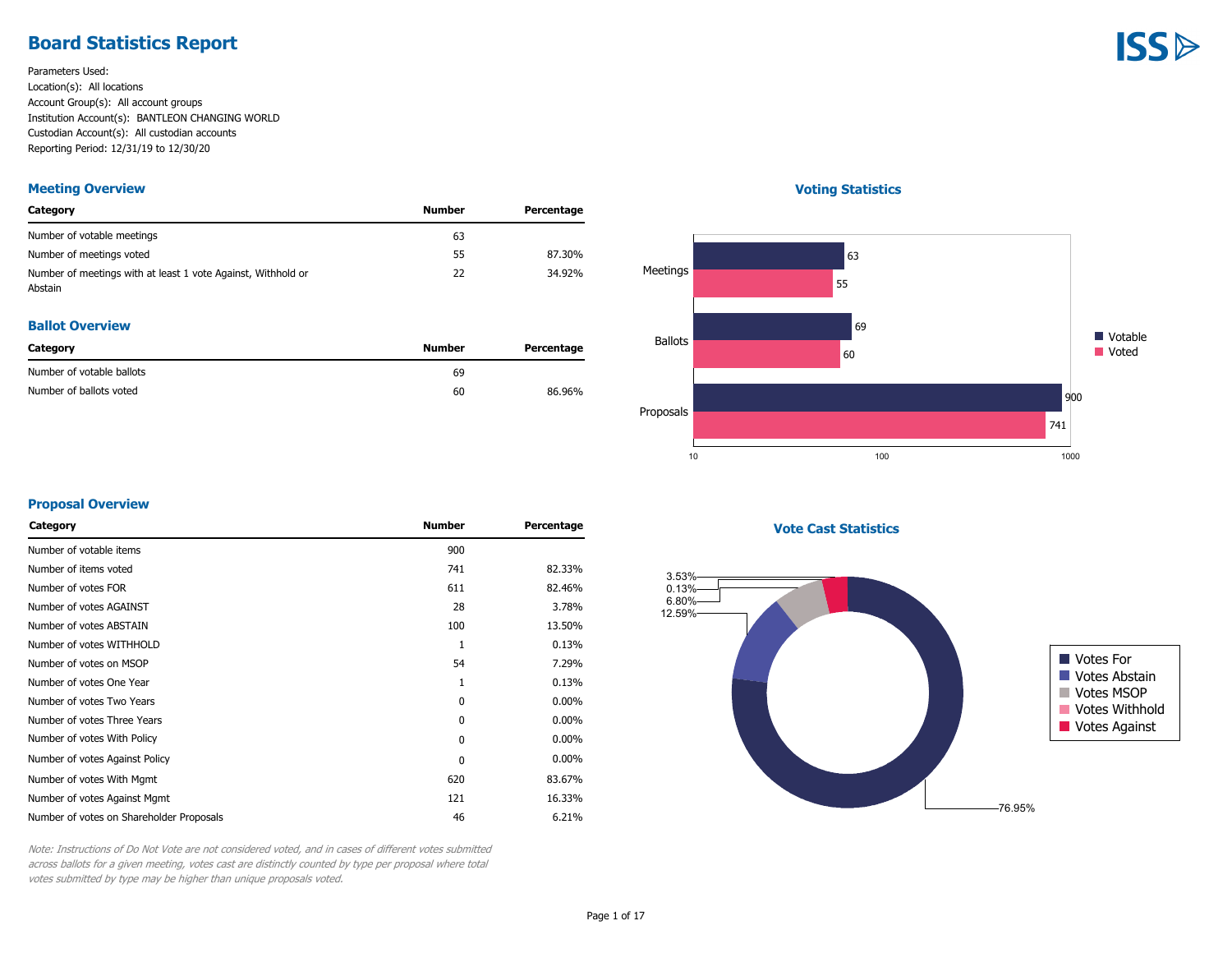### **Board Statistics Report**

Parameters Used: Location(s): All locations Account Group(s): All account groups Institution Account(s): BANTLEON CHANGING WORLD Custodian Account(s): All custodian accounts Reporting Period: 12/31/19 to 12/30/20

#### **Meeting Overview**

| Category                                                                | Number | Percentage |
|-------------------------------------------------------------------------|--------|------------|
| Number of votable meetings                                              | 63     |            |
| Number of meetings voted                                                | 55     | 87.30%     |
| Number of meetings with at least 1 vote Against, Withhold or<br>Abstain | 22     | 34.92%     |

#### **Ballot Overview**

| Category                  | Number | Percentage |
|---------------------------|--------|------------|
| Number of votable ballots | 69     |            |
| Number of ballots voted   | 60     | 86.96%     |

#### **Voting Statistics**



#### **Proposal Overview**

| 900          |          |
|--------------|----------|
| 741          | 82.33%   |
| 611          | 82.46%   |
| 28           | 3.78%    |
| 100          | 13.50%   |
| $\mathbf{1}$ | 0.13%    |
| 54           | 7.29%    |
| 1            | 0.13%    |
| 0            | $0.00\%$ |
| $\mathbf{0}$ | $0.00\%$ |
| $\mathbf{0}$ | $0.00\%$ |
| $\mathbf{0}$ | $0.00\%$ |
| 620          | 83.67%   |
| 121          | 16.33%   |
| 46           | 6.21%    |
|              |          |

**Vote Cast Statistics**



Note: Instructions of Do Not Vote are not considered voted, and in cases of different votes submitted across ballots for a given meeting, votes cast are distinctly counted by type per proposal where total votes submitted by type may be higher than unique proposals voted.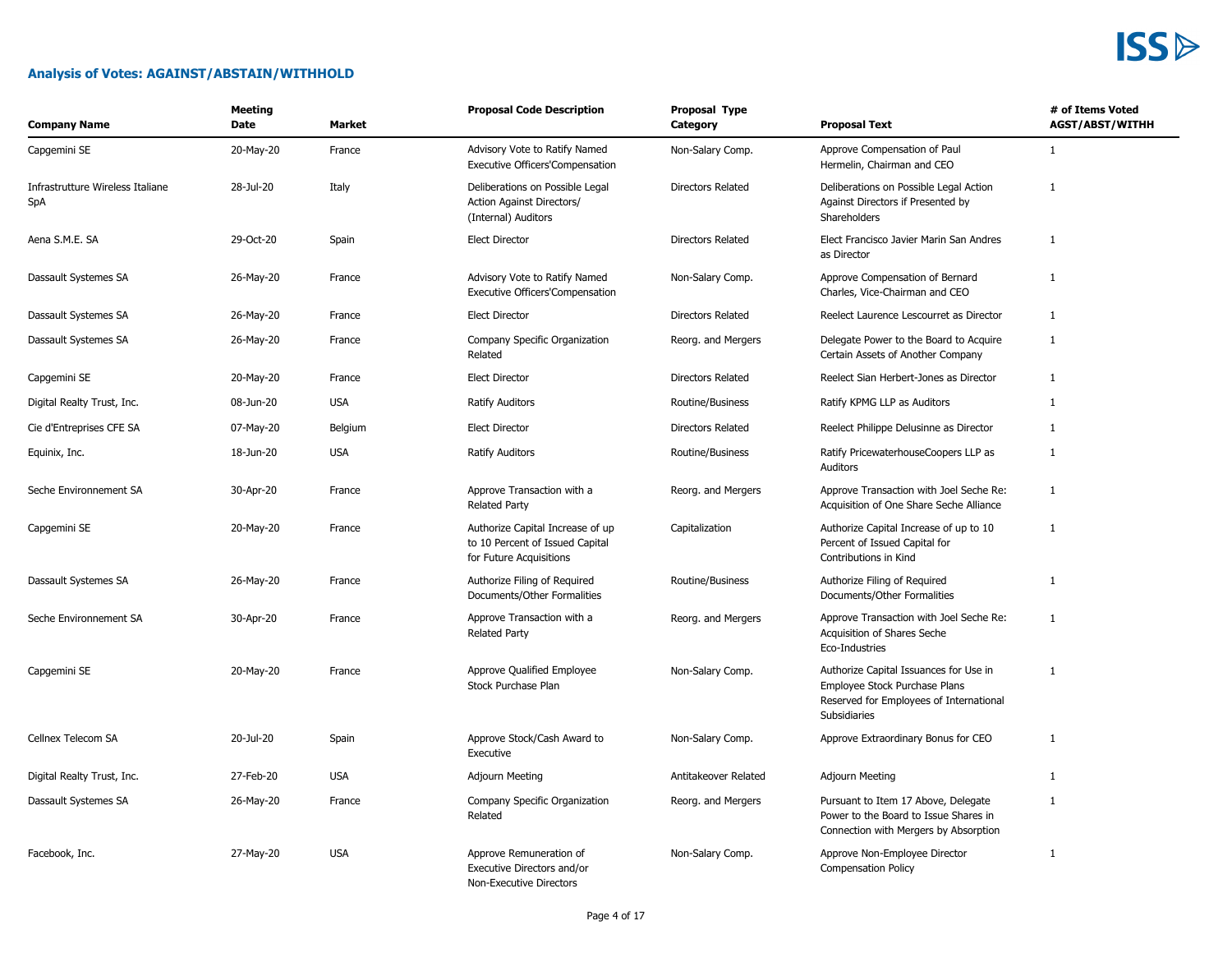#### **Analysis of Votes: AGAINST/ABSTAIN/WITHHOLD**

| <b>Company Name</b>                     | <b>Meeting</b><br>Date | <b>Market</b> | <b>Proposal Code Description</b>                                                               | <b>Proposal Type</b><br>Category | <b>Proposal Text</b>                                                                                                               | # of Items Voted<br><b>AGST/ABST/WITHH</b> |
|-----------------------------------------|------------------------|---------------|------------------------------------------------------------------------------------------------|----------------------------------|------------------------------------------------------------------------------------------------------------------------------------|--------------------------------------------|
| Capgemini SE                            | 20-May-20              | France        | Advisory Vote to Ratify Named<br>Executive Officers'Compensation                               | Non-Salary Comp.                 | Approve Compensation of Paul<br>Hermelin, Chairman and CEO                                                                         | $\mathbf{1}$                               |
| Infrastrutture Wireless Italiane<br>SpA | 28-Jul-20              | Italy         | Deliberations on Possible Legal<br><b>Action Against Directors/</b><br>(Internal) Auditors     | <b>Directors Related</b>         | Deliberations on Possible Legal Action<br>Against Directors if Presented by<br>Shareholders                                        | 1                                          |
| Aena S.M.E. SA                          | 29-Oct-20              | Spain         | <b>Elect Director</b>                                                                          | Directors Related                | Elect Francisco Javier Marin San Andres<br>as Director                                                                             | $\mathbf{1}$                               |
| Dassault Systemes SA                    | 26-May-20              | France        | Advisory Vote to Ratify Named<br>Executive Officers'Compensation                               | Non-Salary Comp.                 | Approve Compensation of Bernard<br>Charles, Vice-Chairman and CEO                                                                  | $\mathbf{1}$                               |
| Dassault Systemes SA                    | 26-May-20              | France        | <b>Elect Director</b>                                                                          | Directors Related                | Reelect Laurence Lescourret as Director                                                                                            | 1                                          |
| Dassault Systemes SA                    | 26-May-20              | France        | Company Specific Organization<br>Related                                                       | Reorg. and Mergers               | Delegate Power to the Board to Acquire<br>Certain Assets of Another Company                                                        | 1                                          |
| Capgemini SE                            | 20-May-20              | France        | <b>Elect Director</b>                                                                          | Directors Related                | Reelect Sian Herbert-Jones as Director                                                                                             | $\mathbf{1}$                               |
| Digital Realty Trust, Inc.              | 08-Jun-20              | <b>USA</b>    | <b>Ratify Auditors</b>                                                                         | Routine/Business                 | Ratify KPMG LLP as Auditors                                                                                                        | $\mathbf{1}$                               |
| Cie d'Entreprises CFE SA                | 07-May-20              | Belgium       | <b>Elect Director</b>                                                                          | Directors Related                | Reelect Philippe Delusinne as Director                                                                                             | $\mathbf{1}$                               |
| Equinix, Inc.                           | 18-Jun-20              | <b>USA</b>    | <b>Ratify Auditors</b>                                                                         | Routine/Business                 | Ratify PricewaterhouseCoopers LLP as<br>Auditors                                                                                   | $\mathbf{1}$                               |
| Seche Environnement SA                  | 30-Apr-20              | France        | Approve Transaction with a<br><b>Related Party</b>                                             | Reorg. and Mergers               | Approve Transaction with Joel Seche Re:<br>Acquisition of One Share Seche Alliance                                                 | $\mathbf{1}$                               |
| Capgemini SE                            | 20-May-20              | France        | Authorize Capital Increase of up<br>to 10 Percent of Issued Capital<br>for Future Acquisitions | Capitalization                   | Authorize Capital Increase of up to 10<br>Percent of Issued Capital for<br>Contributions in Kind                                   | 1                                          |
| Dassault Systemes SA                    | 26-May-20              | France        | Authorize Filing of Required<br>Documents/Other Formalities                                    | Routine/Business                 | Authorize Filing of Required<br>Documents/Other Formalities                                                                        | $\mathbf{1}$                               |
| Seche Environnement SA                  | 30-Apr-20              | France        | Approve Transaction with a<br><b>Related Party</b>                                             | Reorg. and Mergers               | Approve Transaction with Joel Seche Re:<br>Acquisition of Shares Seche<br>Eco-Industries                                           | 1                                          |
| Capgemini SE                            | 20-May-20              | France        | Approve Qualified Employee<br>Stock Purchase Plan                                              | Non-Salary Comp.                 | Authorize Capital Issuances for Use in<br>Employee Stock Purchase Plans<br>Reserved for Employees of International<br>Subsidiaries | 1                                          |
| Cellnex Telecom SA                      | 20-Jul-20              | Spain         | Approve Stock/Cash Award to<br>Executive                                                       | Non-Salary Comp.                 | Approve Extraordinary Bonus for CEO                                                                                                | 1                                          |
| Digital Realty Trust, Inc.              | 27-Feb-20              | <b>USA</b>    | Adjourn Meeting                                                                                | Antitakeover Related             | <b>Adjourn Meeting</b>                                                                                                             | 1                                          |
| Dassault Systemes SA                    | 26-May-20              | France        | Company Specific Organization<br>Related                                                       | Reorg. and Mergers               | Pursuant to Item 17 Above, Delegate<br>Power to the Board to Issue Shares in<br>Connection with Mergers by Absorption              | 1                                          |
| Facebook, Inc.                          | 27-May-20              | <b>USA</b>    | Approve Remuneration of<br>Executive Directors and/or<br>Non-Executive Directors               | Non-Salary Comp.                 | Approve Non-Employee Director<br><b>Compensation Policy</b>                                                                        | 1                                          |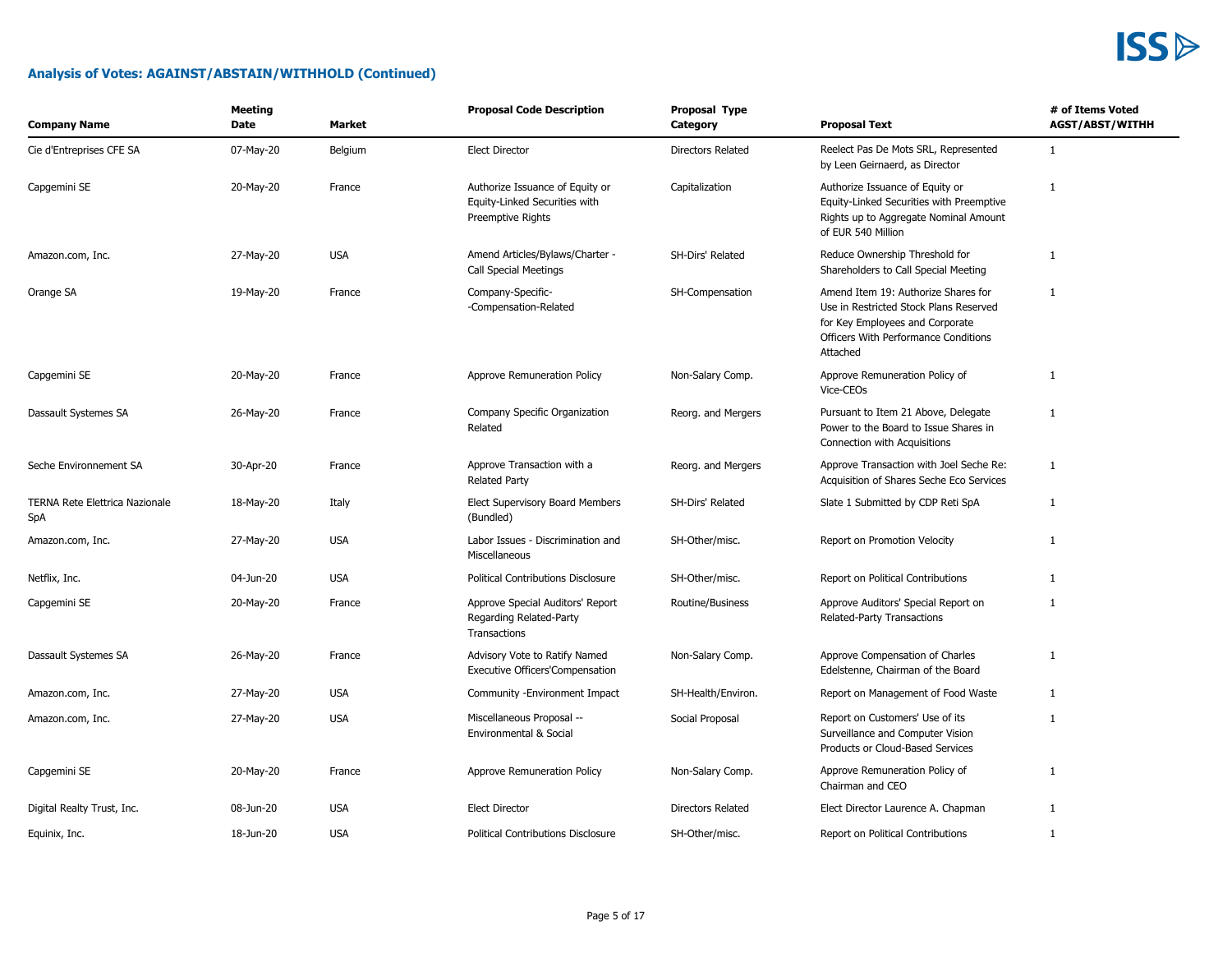

| <b>Company Name</b>                          | <b>Meeting</b><br>Date | Market     | <b>Proposal Code Description</b>                                                      | <b>Proposal Type</b><br>Category | <b>Proposal Text</b>                                                                                                                                                 | # of Items Voted<br><b>AGST/ABST/WITHH</b> |
|----------------------------------------------|------------------------|------------|---------------------------------------------------------------------------------------|----------------------------------|----------------------------------------------------------------------------------------------------------------------------------------------------------------------|--------------------------------------------|
| Cie d'Entreprises CFE SA                     | 07-May-20              | Belgium    | <b>Elect Director</b>                                                                 | Directors Related                | Reelect Pas De Mots SRL, Represented<br>by Leen Geirnaerd, as Director                                                                                               | $\mathbf{1}$                               |
| Capgemini SE                                 | 20-May-20              | France     | Authorize Issuance of Equity or<br>Equity-Linked Securities with<br>Preemptive Rights | Capitalization                   | Authorize Issuance of Equity or<br>Equity-Linked Securities with Preemptive<br>Rights up to Aggregate Nominal Amount<br>of EUR 540 Million                           | $\mathbf{1}$                               |
| Amazon.com, Inc.                             | 27-May-20              | <b>USA</b> | Amend Articles/Bylaws/Charter -<br><b>Call Special Meetings</b>                       | SH-Dirs' Related                 | Reduce Ownership Threshold for<br>Shareholders to Call Special Meeting                                                                                               | 1                                          |
| Orange SA                                    | 19-May-20              | France     | Company-Specific-<br>-Compensation-Related                                            | SH-Compensation                  | Amend Item 19: Authorize Shares for<br>Use in Restricted Stock Plans Reserved<br>for Key Employees and Corporate<br>Officers With Performance Conditions<br>Attached | $\mathbf{1}$                               |
| Capgemini SE                                 | 20-May-20              | France     | Approve Remuneration Policy                                                           | Non-Salary Comp.                 | Approve Remuneration Policy of<br>Vice-CEOs                                                                                                                          | $\mathbf{1}$                               |
| Dassault Systemes SA                         | 26-May-20              | France     | Company Specific Organization<br>Related                                              | Reorg. and Mergers               | Pursuant to Item 21 Above, Delegate<br>Power to the Board to Issue Shares in<br>Connection with Acquisitions                                                         | $\mathbf{1}$                               |
| Seche Environnement SA                       | 30-Apr-20              | France     | Approve Transaction with a<br><b>Related Party</b>                                    | Reorg. and Mergers               | Approve Transaction with Joel Seche Re:<br>Acquisition of Shares Seche Eco Services                                                                                  | $\mathbf{1}$                               |
| <b>TERNA Rete Elettrica Nazionale</b><br>SpA | 18-May-20              | Italy      | Elect Supervisory Board Members<br>(Bundled)                                          | SH-Dirs' Related                 | Slate 1 Submitted by CDP Reti SpA                                                                                                                                    | 1                                          |
| Amazon.com, Inc.                             | 27-May-20              | <b>USA</b> | Labor Issues - Discrimination and<br>Miscellaneous                                    | SH-Other/misc.                   | Report on Promotion Velocity                                                                                                                                         | $\mathbf{1}$                               |
| Netflix, Inc.                                | 04-Jun-20              | <b>USA</b> | <b>Political Contributions Disclosure</b>                                             | SH-Other/misc.                   | Report on Political Contributions                                                                                                                                    | $\mathbf{1}$                               |
| Capgemini SE                                 | 20-May-20              | France     | Approve Special Auditors' Report<br>Regarding Related-Party<br>Transactions           | Routine/Business                 | Approve Auditors' Special Report on<br>Related-Party Transactions                                                                                                    | 1                                          |
| Dassault Systemes SA                         | 26-May-20              | France     | Advisory Vote to Ratify Named<br><b>Executive Officers'Compensation</b>               | Non-Salary Comp.                 | Approve Compensation of Charles<br>Edelstenne, Chairman of the Board                                                                                                 | 1                                          |
| Amazon.com, Inc.                             | 27-May-20              | <b>USA</b> | Community - Environment Impact                                                        | SH-Health/Environ.               | Report on Management of Food Waste                                                                                                                                   | $\mathbf{1}$                               |
| Amazon.com, Inc.                             | 27-May-20              | <b>USA</b> | Miscellaneous Proposal --<br>Environmental & Social                                   | Social Proposal                  | Report on Customers' Use of its<br>Surveillance and Computer Vision<br>Products or Cloud-Based Services                                                              | $\mathbf{1}$                               |
| Capgemini SE                                 | 20-May-20              | France     | Approve Remuneration Policy                                                           | Non-Salary Comp.                 | Approve Remuneration Policy of<br>Chairman and CEO                                                                                                                   | $\mathbf{1}$                               |
| Digital Realty Trust, Inc.                   | 08-Jun-20              | <b>USA</b> | <b>Elect Director</b>                                                                 | <b>Directors Related</b>         | Elect Director Laurence A. Chapman                                                                                                                                   | $\mathbf{1}$                               |
| Equinix, Inc.                                | 18-Jun-20              | <b>USA</b> | <b>Political Contributions Disclosure</b>                                             | SH-Other/misc.                   | Report on Political Contributions                                                                                                                                    | $\mathbf{1}$                               |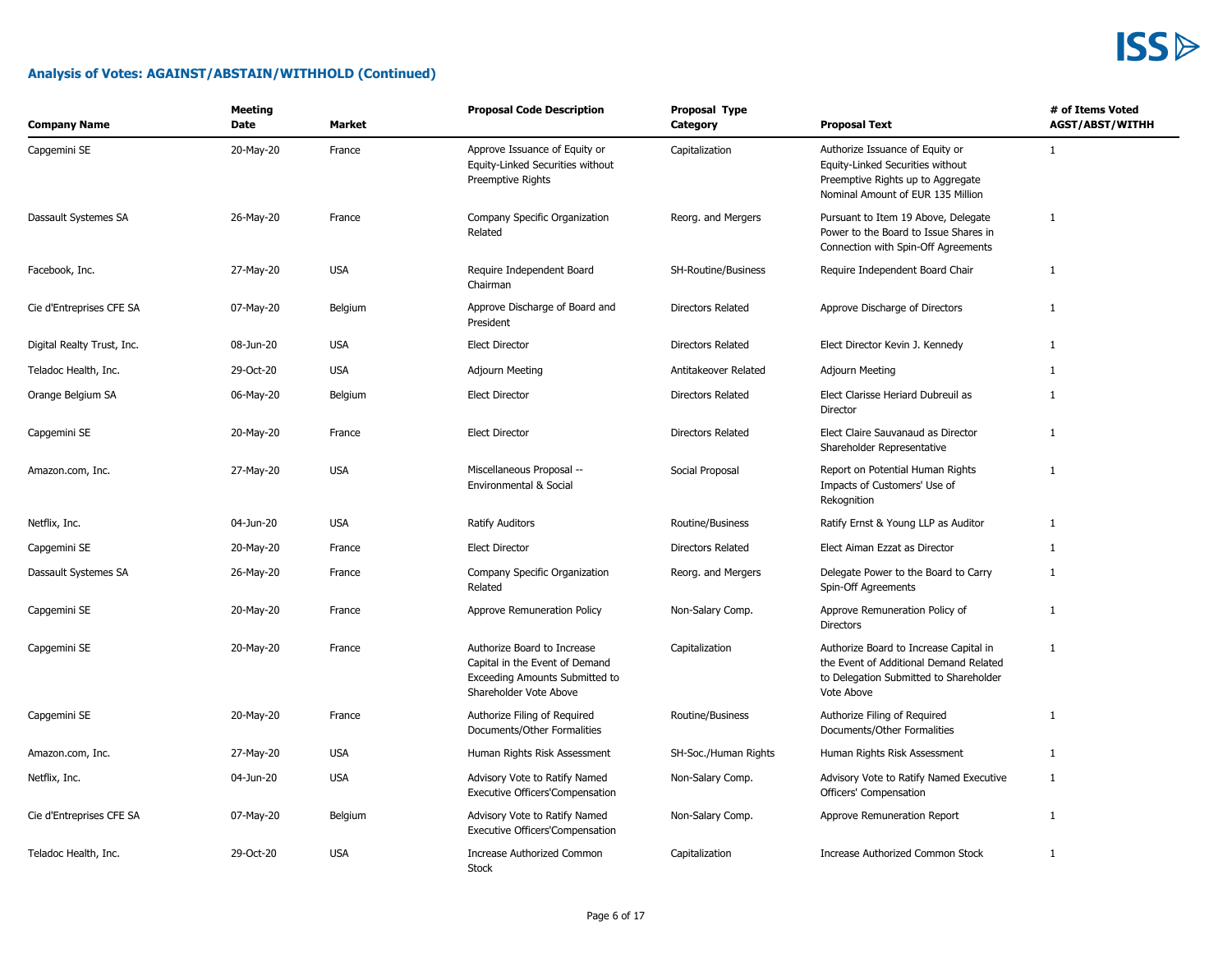| <b>Company Name</b>        | <b>Meeting</b><br><b>Date</b> | <b>Market</b> | <b>Proposal Code Description</b>                                                                                          | Proposal Type<br>Category | <b>Proposal Text</b>                                                                                                                          | # of Items Voted<br><b>AGST/ABST/WITHH</b> |
|----------------------------|-------------------------------|---------------|---------------------------------------------------------------------------------------------------------------------------|---------------------------|-----------------------------------------------------------------------------------------------------------------------------------------------|--------------------------------------------|
| Capgemini SE               | 20-May-20                     | France        | Approve Issuance of Equity or<br>Equity-Linked Securities without<br>Preemptive Rights                                    | Capitalization            | Authorize Issuance of Equity or<br>Equity-Linked Securities without<br>Preemptive Rights up to Aggregate<br>Nominal Amount of EUR 135 Million | $\mathbf{1}$                               |
| Dassault Systemes SA       | 26-May-20                     | France        | Company Specific Organization<br>Related                                                                                  | Reorg. and Mergers        | Pursuant to Item 19 Above, Delegate<br>Power to the Board to Issue Shares in<br>Connection with Spin-Off Agreements                           | $\mathbf{1}$                               |
| Facebook, Inc.             | 27-May-20                     | <b>USA</b>    | Require Independent Board<br>Chairman                                                                                     | SH-Routine/Business       | Require Independent Board Chair                                                                                                               | $\mathbf{1}$                               |
| Cie d'Entreprises CFE SA   | 07-May-20                     | Belgium       | Approve Discharge of Board and<br>President                                                                               | <b>Directors Related</b>  | Approve Discharge of Directors                                                                                                                | 1                                          |
| Digital Realty Trust, Inc. | 08-Jun-20                     | <b>USA</b>    | <b>Elect Director</b>                                                                                                     | Directors Related         | Elect Director Kevin J. Kennedy                                                                                                               | $\mathbf{1}$                               |
| Teladoc Health, Inc.       | 29-Oct-20                     | <b>USA</b>    | <b>Adjourn Meeting</b>                                                                                                    | Antitakeover Related      | <b>Adjourn Meeting</b>                                                                                                                        | 1                                          |
| Orange Belgium SA          | 06-May-20                     | Belgium       | <b>Elect Director</b>                                                                                                     | Directors Related         | Elect Clarisse Heriard Dubreuil as<br>Director                                                                                                | $\mathbf{1}$                               |
| Capgemini SE               | 20-May-20                     | France        | <b>Elect Director</b>                                                                                                     | Directors Related         | Elect Claire Sauvanaud as Director<br>Shareholder Representative                                                                              | $\mathbf{1}$                               |
| Amazon.com, Inc.           | 27-May-20                     | <b>USA</b>    | Miscellaneous Proposal --<br>Environmental & Social                                                                       | Social Proposal           | Report on Potential Human Rights<br>Impacts of Customers' Use of<br>Rekognition                                                               | $\mathbf{1}$                               |
| Netflix, Inc.              | 04-Jun-20                     | <b>USA</b>    | <b>Ratify Auditors</b>                                                                                                    | Routine/Business          | Ratify Ernst & Young LLP as Auditor                                                                                                           | 1                                          |
| Capgemini SE               | 20-May-20                     | France        | <b>Elect Director</b>                                                                                                     | Directors Related         | Elect Aiman Ezzat as Director                                                                                                                 | $\mathbf{1}$                               |
| Dassault Systemes SA       | 26-May-20                     | France        | Company Specific Organization<br>Related                                                                                  | Reorg. and Mergers        | Delegate Power to the Board to Carry<br>Spin-Off Agreements                                                                                   | $\mathbf{1}$                               |
| Capgemini SE               | 20-May-20                     | France        | Approve Remuneration Policy                                                                                               | Non-Salary Comp.          | Approve Remuneration Policy of<br><b>Directors</b>                                                                                            | $\mathbf{1}$                               |
| Capgemini SE               | 20-May-20                     | France        | Authorize Board to Increase<br>Capital in the Event of Demand<br>Exceeding Amounts Submitted to<br>Shareholder Vote Above | Capitalization            | Authorize Board to Increase Capital in<br>the Event of Additional Demand Related<br>to Delegation Submitted to Shareholder<br>Vote Above      | $\mathbf{1}$                               |
| Capgemini SE               | 20-May-20                     | France        | Authorize Filing of Required<br>Documents/Other Formalities                                                               | Routine/Business          | Authorize Filing of Required<br>Documents/Other Formalities                                                                                   | $\mathbf{1}$                               |
| Amazon.com, Inc.           | 27-May-20                     | <b>USA</b>    | Human Rights Risk Assessment                                                                                              | SH-Soc./Human Rights      | Human Rights Risk Assessment                                                                                                                  | 1                                          |
| Netflix, Inc.              | 04-Jun-20                     | <b>USA</b>    | Advisory Vote to Ratify Named<br><b>Executive Officers'Compensation</b>                                                   | Non-Salary Comp.          | Advisory Vote to Ratify Named Executive<br>Officers' Compensation                                                                             | 1                                          |
| Cie d'Entreprises CFE SA   | 07-May-20                     | Belgium       | Advisory Vote to Ratify Named<br><b>Executive Officers'Compensation</b>                                                   | Non-Salary Comp.          | Approve Remuneration Report                                                                                                                   | 1                                          |
| Teladoc Health, Inc.       | 29-Oct-20                     | <b>USA</b>    | <b>Increase Authorized Common</b><br><b>Stock</b>                                                                         | Capitalization            | Increase Authorized Common Stock                                                                                                              | $\mathbf{1}$                               |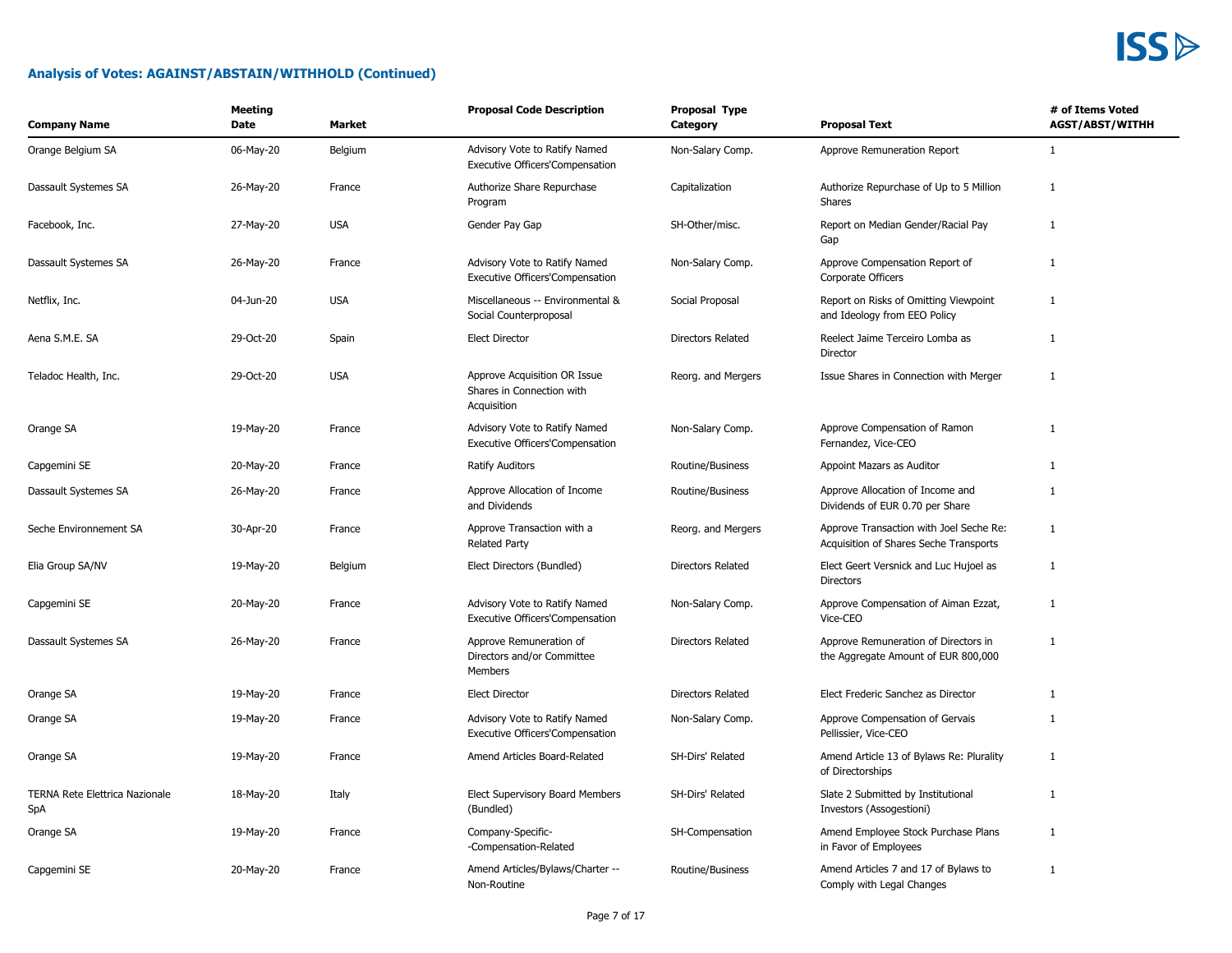| <b>Company Name</b>                          | <b>Meeting</b><br><b>Date</b> | <b>Market</b> | <b>Proposal Code Description</b>                                         | Proposal Type<br>Category | <b>Proposal Text</b>                                                              | # of Items Voted<br><b>AGST/ABST/WITHH</b> |
|----------------------------------------------|-------------------------------|---------------|--------------------------------------------------------------------------|---------------------------|-----------------------------------------------------------------------------------|--------------------------------------------|
| Orange Belgium SA                            | 06-May-20                     | Belgium       | Advisory Vote to Ratify Named<br>Executive Officers'Compensation         | Non-Salary Comp.          | Approve Remuneration Report                                                       | $\mathbf{1}$                               |
| Dassault Systemes SA                         | 26-May-20                     | France        | Authorize Share Repurchase<br>Program                                    | Capitalization            | Authorize Repurchase of Up to 5 Million<br>Shares                                 | $\mathbf{1}$                               |
| Facebook, Inc.                               | 27-May-20                     | <b>USA</b>    | Gender Pay Gap                                                           | SH-Other/misc.            | Report on Median Gender/Racial Pay<br>Gap                                         | 1                                          |
| Dassault Systemes SA                         | 26-May-20                     | France        | Advisory Vote to Ratify Named<br>Executive Officers'Compensation         | Non-Salary Comp.          | Approve Compensation Report of<br>Corporate Officers                              | $\mathbf{1}$                               |
| Netflix, Inc.                                | 04-Jun-20                     | <b>USA</b>    | Miscellaneous -- Environmental &<br>Social Counterproposal               | Social Proposal           | Report on Risks of Omitting Viewpoint<br>and Ideology from EEO Policy             | $\mathbf{1}$                               |
| Aena S.M.E. SA                               | 29-Oct-20                     | Spain         | <b>Elect Director</b>                                                    | <b>Directors Related</b>  | Reelect Jaime Terceiro Lomba as<br>Director                                       | $\mathbf{1}$                               |
| Teladoc Health, Inc.                         | 29-Oct-20                     | <b>USA</b>    | Approve Acquisition OR Issue<br>Shares in Connection with<br>Acquisition | Reorg. and Mergers        | Issue Shares in Connection with Merger                                            | $\mathbf{1}$                               |
| Orange SA                                    | 19-May-20                     | France        | Advisory Vote to Ratify Named<br>Executive Officers'Compensation         | Non-Salary Comp.          | Approve Compensation of Ramon<br>Fernandez, Vice-CEO                              | $\mathbf{1}$                               |
| Capgemini SE                                 | 20-May-20                     | France        | <b>Ratify Auditors</b>                                                   | Routine/Business          | Appoint Mazars as Auditor                                                         | $\mathbf{1}$                               |
| Dassault Systemes SA                         | 26-May-20                     | France        | Approve Allocation of Income<br>and Dividends                            | Routine/Business          | Approve Allocation of Income and<br>Dividends of EUR 0.70 per Share               | $\mathbf{1}$                               |
| Seche Environnement SA                       | 30-Apr-20                     | France        | Approve Transaction with a<br><b>Related Party</b>                       | Reorg. and Mergers        | Approve Transaction with Joel Seche Re:<br>Acquisition of Shares Seche Transports | $\mathbf{1}$                               |
| Elia Group SA/NV                             | 19-May-20                     | Belgium       | Elect Directors (Bundled)                                                | <b>Directors Related</b>  | Elect Geert Versnick and Luc Hujoel as<br><b>Directors</b>                        | $\mathbf{1}$                               |
| Capgemini SE                                 | 20-May-20                     | France        | Advisory Vote to Ratify Named<br><b>Executive Officers'Compensation</b>  | Non-Salary Comp.          | Approve Compensation of Aiman Ezzat,<br>Vice-CEO                                  | $\mathbf{1}$                               |
| Dassault Systemes SA                         | 26-May-20                     | France        | Approve Remuneration of<br>Directors and/or Committee<br><b>Members</b>  | Directors Related         | Approve Remuneration of Directors in<br>the Aggregate Amount of EUR 800,000       | $\mathbf{1}$                               |
| Orange SA                                    | 19-May-20                     | France        | <b>Elect Director</b>                                                    | Directors Related         | Elect Frederic Sanchez as Director                                                | $\mathbf{1}$                               |
| Orange SA                                    | 19-May-20                     | France        | Advisory Vote to Ratify Named<br>Executive Officers'Compensation         | Non-Salary Comp.          | Approve Compensation of Gervais<br>Pellissier, Vice-CEO                           | $\mathbf{1}$                               |
| Orange SA                                    | 19-May-20                     | France        | Amend Articles Board-Related                                             | SH-Dirs' Related          | Amend Article 13 of Bylaws Re: Plurality<br>of Directorships                      | $\mathbf{1}$                               |
| <b>TERNA Rete Elettrica Nazionale</b><br>SpA | 18-May-20                     | Italy         | Elect Supervisory Board Members<br>(Bundled)                             | SH-Dirs' Related          | Slate 2 Submitted by Institutional<br>Investors (Assogestioni)                    | 1                                          |
| Orange SA                                    | 19-May-20                     | France        | Company-Specific-<br>-Compensation-Related                               | SH-Compensation           | Amend Employee Stock Purchase Plans<br>in Favor of Employees                      | $\mathbf{1}$                               |
| Capgemini SE                                 | 20-May-20                     | France        | Amend Articles/Bylaws/Charter --<br>Non-Routine                          | Routine/Business          | Amend Articles 7 and 17 of Bylaws to<br>Comply with Legal Changes                 | $\mathbf{1}$                               |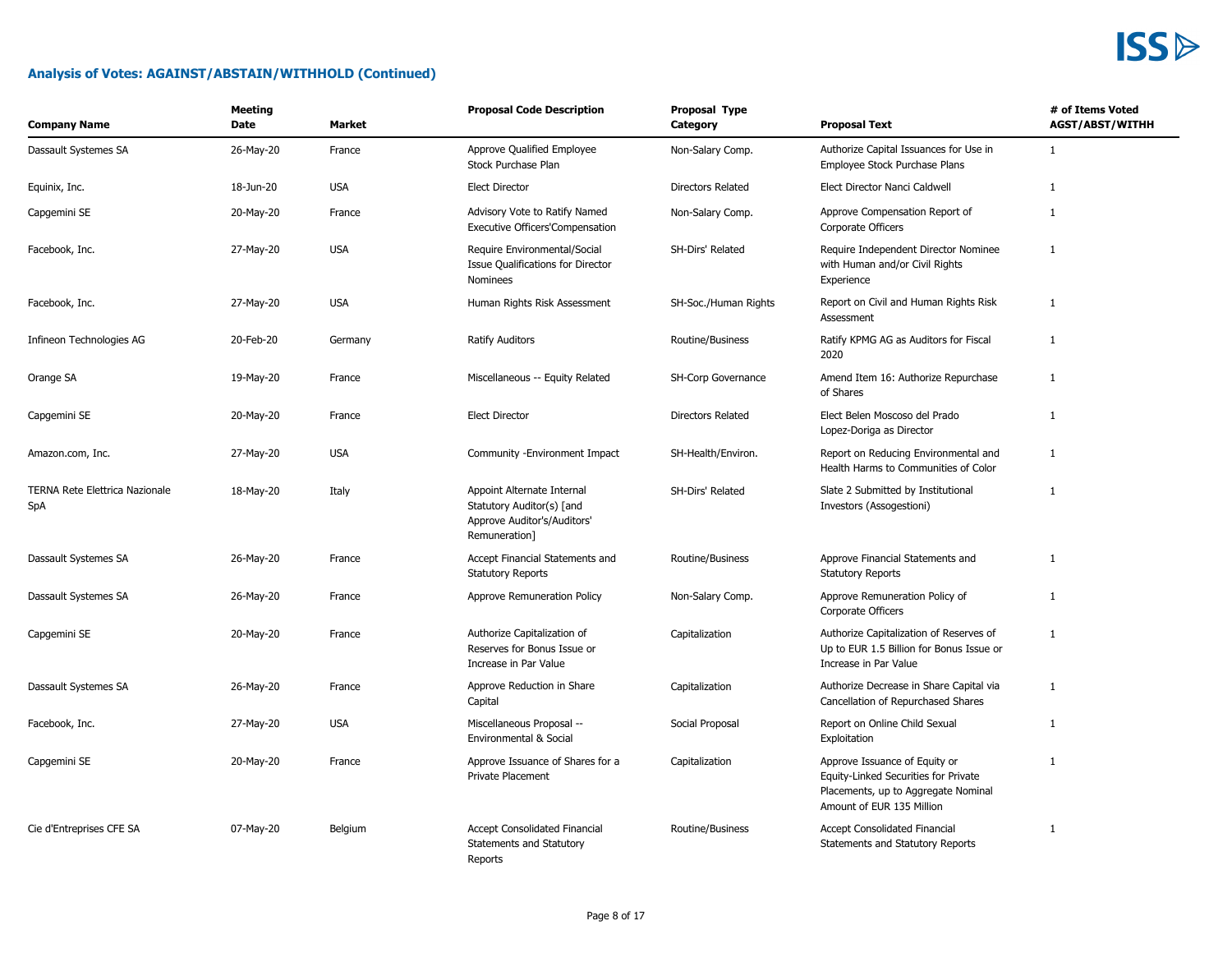| <b>Company Name</b>                          | <b>Meeting</b><br>Date | <b>Market</b> | <b>Proposal Code Description</b>                                                                        | Proposal Type<br>Category | <b>Proposal Text</b>                                                                                                                      | # of Items Voted<br><b>AGST/ABST/WITHH</b> |
|----------------------------------------------|------------------------|---------------|---------------------------------------------------------------------------------------------------------|---------------------------|-------------------------------------------------------------------------------------------------------------------------------------------|--------------------------------------------|
| Dassault Systemes SA                         | 26-May-20              | France        | Approve Qualified Employee<br>Stock Purchase Plan                                                       | Non-Salary Comp.          | Authorize Capital Issuances for Use in<br>Employee Stock Purchase Plans                                                                   | $\mathbf{1}$                               |
| Equinix, Inc.                                | 18-Jun-20              | <b>USA</b>    | <b>Elect Director</b>                                                                                   | Directors Related         | Elect Director Nanci Caldwell                                                                                                             | 1                                          |
| Capgemini SE                                 | 20-May-20              | France        | Advisory Vote to Ratify Named<br>Executive Officers'Compensation                                        | Non-Salary Comp.          | Approve Compensation Report of<br>Corporate Officers                                                                                      | $\mathbf{1}$                               |
| Facebook, Inc.                               | 27-May-20              | <b>USA</b>    | Require Environmental/Social<br>Issue Qualifications for Director<br>Nominees                           | SH-Dirs' Related          | Require Independent Director Nominee<br>with Human and/or Civil Rights<br>Experience                                                      | $\mathbf{1}$                               |
| Facebook, Inc.                               | 27-May-20              | <b>USA</b>    | Human Rights Risk Assessment                                                                            | SH-Soc./Human Rights      | Report on Civil and Human Rights Risk<br>Assessment                                                                                       | 1                                          |
| Infineon Technologies AG                     | 20-Feb-20              | Germany       | <b>Ratify Auditors</b>                                                                                  | Routine/Business          | Ratify KPMG AG as Auditors for Fiscal<br>2020                                                                                             | $\mathbf{1}$                               |
| Orange SA                                    | 19-May-20              | France        | Miscellaneous -- Equity Related                                                                         | SH-Corp Governance        | Amend Item 16: Authorize Repurchase<br>of Shares                                                                                          | $\mathbf{1}$                               |
| Capgemini SE                                 | 20-May-20              | France        | <b>Elect Director</b>                                                                                   | Directors Related         | Elect Belen Moscoso del Prado<br>Lopez-Doriga as Director                                                                                 | $\mathbf{1}$                               |
| Amazon.com, Inc.                             | 27-May-20              | <b>USA</b>    | Community - Environment Impact                                                                          | SH-Health/Environ.        | Report on Reducing Environmental and<br>Health Harms to Communities of Color                                                              | $\mathbf{1}$                               |
| TERNA Rete Elettrica Nazionale<br><b>SpA</b> | 18-May-20              | Italy         | Appoint Alternate Internal<br>Statutory Auditor(s) [and<br>Approve Auditor's/Auditors'<br>Remuneration] | SH-Dirs' Related          | Slate 2 Submitted by Institutional<br>Investors (Assogestioni)                                                                            | 1                                          |
| Dassault Systemes SA                         | 26-May-20              | France        | Accept Financial Statements and<br><b>Statutory Reports</b>                                             | Routine/Business          | Approve Financial Statements and<br><b>Statutory Reports</b>                                                                              | $\mathbf{1}$                               |
| Dassault Systemes SA                         | 26-May-20              | France        | Approve Remuneration Policy                                                                             | Non-Salary Comp.          | Approve Remuneration Policy of<br>Corporate Officers                                                                                      | $\mathbf{1}$                               |
| Capgemini SE                                 | 20-May-20              | France        | Authorize Capitalization of<br>Reserves for Bonus Issue or<br>Increase in Par Value                     | Capitalization            | Authorize Capitalization of Reserves of<br>Up to EUR 1.5 Billion for Bonus Issue or<br>Increase in Par Value                              | 1                                          |
| Dassault Systemes SA                         | 26-May-20              | France        | Approve Reduction in Share<br>Capital                                                                   | Capitalization            | Authorize Decrease in Share Capital via<br>Cancellation of Repurchased Shares                                                             | $\mathbf{1}$                               |
| Facebook, Inc.                               | 27-May-20              | <b>USA</b>    | Miscellaneous Proposal --<br>Environmental & Social                                                     | Social Proposal           | Report on Online Child Sexual<br>Exploitation                                                                                             | $\mathbf{1}$                               |
| Capgemini SE                                 | 20-May-20              | France        | Approve Issuance of Shares for a<br><b>Private Placement</b>                                            | Capitalization            | Approve Issuance of Equity or<br>Equity-Linked Securities for Private<br>Placements, up to Aggregate Nominal<br>Amount of EUR 135 Million | 1                                          |
| Cie d'Entreprises CFE SA                     | 07-May-20              | Belgium       | <b>Accept Consolidated Financial</b><br>Statements and Statutory<br>Reports                             | Routine/Business          | <b>Accept Consolidated Financial</b><br>Statements and Statutory Reports                                                                  | $\mathbf{1}$                               |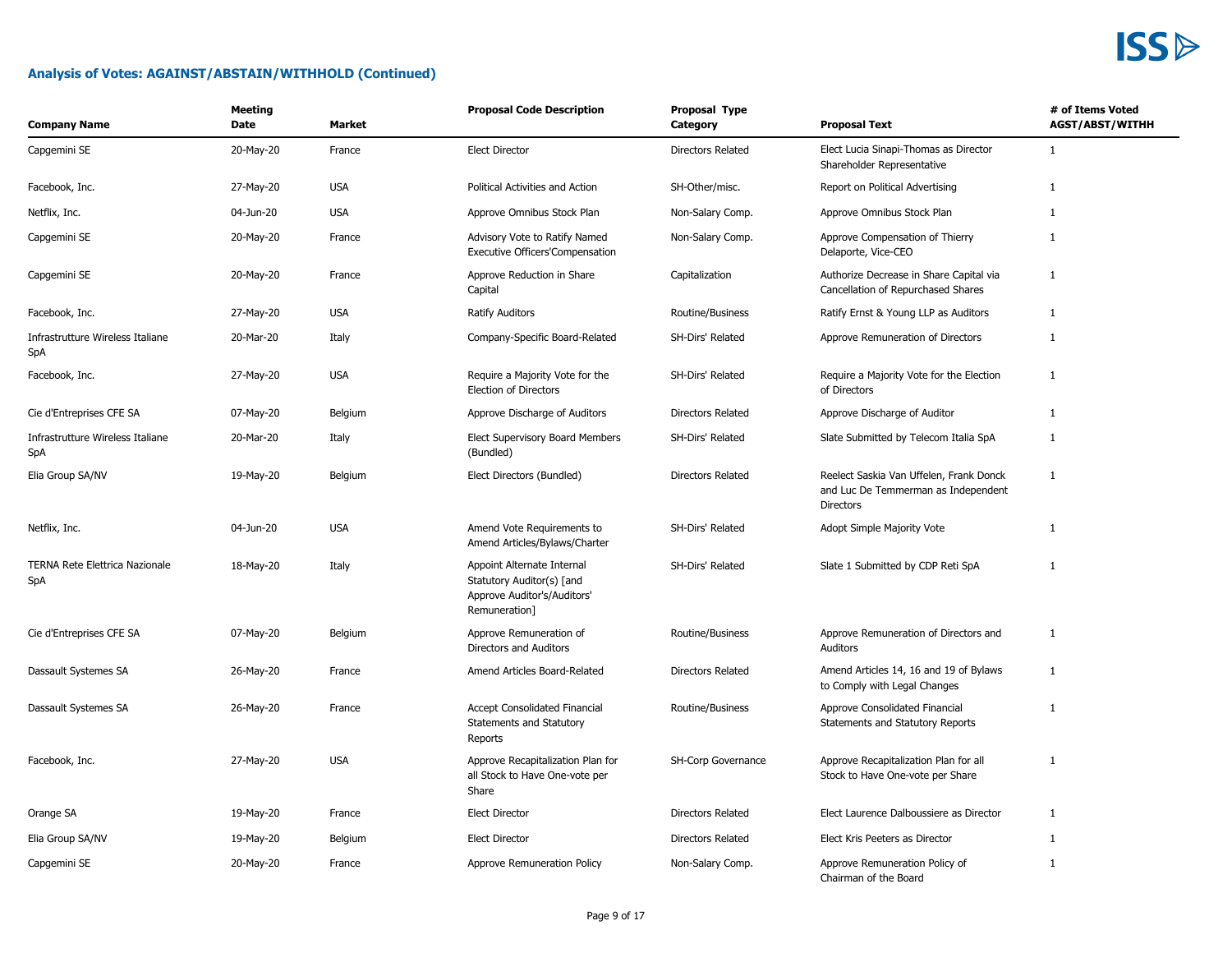| <b>Company Name</b>                          | <b>Meeting</b><br>Date | <b>Market</b> | <b>Proposal Code Description</b>                                                                        | Proposal Type<br>Category | <b>Proposal Text</b>                                                                        | # of Items Voted<br><b>AGST/ABST/WITHH</b> |
|----------------------------------------------|------------------------|---------------|---------------------------------------------------------------------------------------------------------|---------------------------|---------------------------------------------------------------------------------------------|--------------------------------------------|
| Capgemini SE                                 | 20-May-20              | France        | <b>Elect Director</b>                                                                                   | Directors Related         | Elect Lucia Sinapi-Thomas as Director<br>Shareholder Representative                         | $\mathbf{1}$                               |
| Facebook, Inc.                               | 27-May-20              | <b>USA</b>    | Political Activities and Action                                                                         | SH-Other/misc.            | Report on Political Advertising                                                             | 1                                          |
| Netflix, Inc.                                | 04-Jun-20              | <b>USA</b>    | Approve Omnibus Stock Plan                                                                              | Non-Salary Comp.          | Approve Omnibus Stock Plan                                                                  | $\mathbf{1}$                               |
| Capgemini SE                                 | 20-May-20              | France        | Advisory Vote to Ratify Named<br>Executive Officers'Compensation                                        | Non-Salary Comp.          | Approve Compensation of Thierry<br>Delaporte, Vice-CEO                                      | $\mathbf{1}$                               |
| Capgemini SE                                 | 20-May-20              | France        | Approve Reduction in Share<br>Capital                                                                   | Capitalization            | Authorize Decrease in Share Capital via<br>Cancellation of Repurchased Shares               | $\mathbf{1}$                               |
| Facebook, Inc.                               | 27-May-20              | <b>USA</b>    | <b>Ratify Auditors</b>                                                                                  | Routine/Business          | Ratify Ernst & Young LLP as Auditors                                                        | $\mathbf{1}$                               |
| Infrastrutture Wireless Italiane<br>SpA      | 20-Mar-20              | Italy         | Company-Specific Board-Related                                                                          | SH-Dirs' Related          | Approve Remuneration of Directors                                                           | $\mathbf{1}$                               |
| Facebook, Inc.                               | 27-May-20              | <b>USA</b>    | Require a Majority Vote for the<br>Election of Directors                                                | SH-Dirs' Related          | Require a Majority Vote for the Election<br>of Directors                                    | $\mathbf{1}$                               |
| Cie d'Entreprises CFE SA                     | 07-May-20              | Belgium       | Approve Discharge of Auditors                                                                           | Directors Related         | Approve Discharge of Auditor                                                                | $\mathbf{1}$                               |
| Infrastrutture Wireless Italiane<br>SpA      | 20-Mar-20              | Italy         | Elect Supervisory Board Members<br>(Bundled)                                                            | SH-Dirs' Related          | Slate Submitted by Telecom Italia SpA                                                       | $\mathbf{1}$                               |
| Elia Group SA/NV                             | 19-May-20              | Belgium       | Elect Directors (Bundled)                                                                               | Directors Related         | Reelect Saskia Van Uffelen, Frank Donck<br>and Luc De Temmerman as Independent<br>Directors | $\mathbf{1}$                               |
| Netflix, Inc.                                | 04-Jun-20              | <b>USA</b>    | Amend Vote Requirements to<br>Amend Articles/Bylaws/Charter                                             | SH-Dirs' Related          | Adopt Simple Majority Vote                                                                  | $\mathbf{1}$                               |
| <b>TERNA Rete Elettrica Nazionale</b><br>SpA | 18-May-20              | Italy         | Appoint Alternate Internal<br>Statutory Auditor(s) [and<br>Approve Auditor's/Auditors'<br>Remuneration] | SH-Dirs' Related          | Slate 1 Submitted by CDP Reti SpA                                                           | $\mathbf{1}$                               |
| Cie d'Entreprises CFE SA                     | 07-May-20              | Belgium       | Approve Remuneration of<br>Directors and Auditors                                                       | Routine/Business          | Approve Remuneration of Directors and<br>Auditors                                           | 1                                          |
| Dassault Systemes SA                         | 26-May-20              | France        | Amend Articles Board-Related                                                                            | Directors Related         | Amend Articles 14, 16 and 19 of Bylaws<br>to Comply with Legal Changes                      | $\mathbf{1}$                               |
| Dassault Systemes SA                         | 26-May-20              | France        | Accept Consolidated Financial<br>Statements and Statutory<br>Reports                                    | Routine/Business          | Approve Consolidated Financial<br>Statements and Statutory Reports                          | $\mathbf{1}$                               |
| Facebook, Inc.                               | 27-May-20              | <b>USA</b>    | Approve Recapitalization Plan for<br>all Stock to Have One-vote per<br>Share                            | SH-Corp Governance        | Approve Recapitalization Plan for all<br>Stock to Have One-vote per Share                   | $\mathbf{1}$                               |
| Orange SA                                    | 19-May-20              | France        | <b>Elect Director</b>                                                                                   | Directors Related         | Elect Laurence Dalboussiere as Director                                                     | $\mathbf{1}$                               |
| Elia Group SA/NV                             | 19-May-20              | Belgium       | <b>Elect Director</b>                                                                                   | <b>Directors Related</b>  | Elect Kris Peeters as Director                                                              | $\mathbf{1}$                               |
| Capgemini SE                                 | 20-May-20              | France        | Approve Remuneration Policy                                                                             | Non-Salary Comp.          | Approve Remuneration Policy of<br>Chairman of the Board                                     | $\mathbf{1}$                               |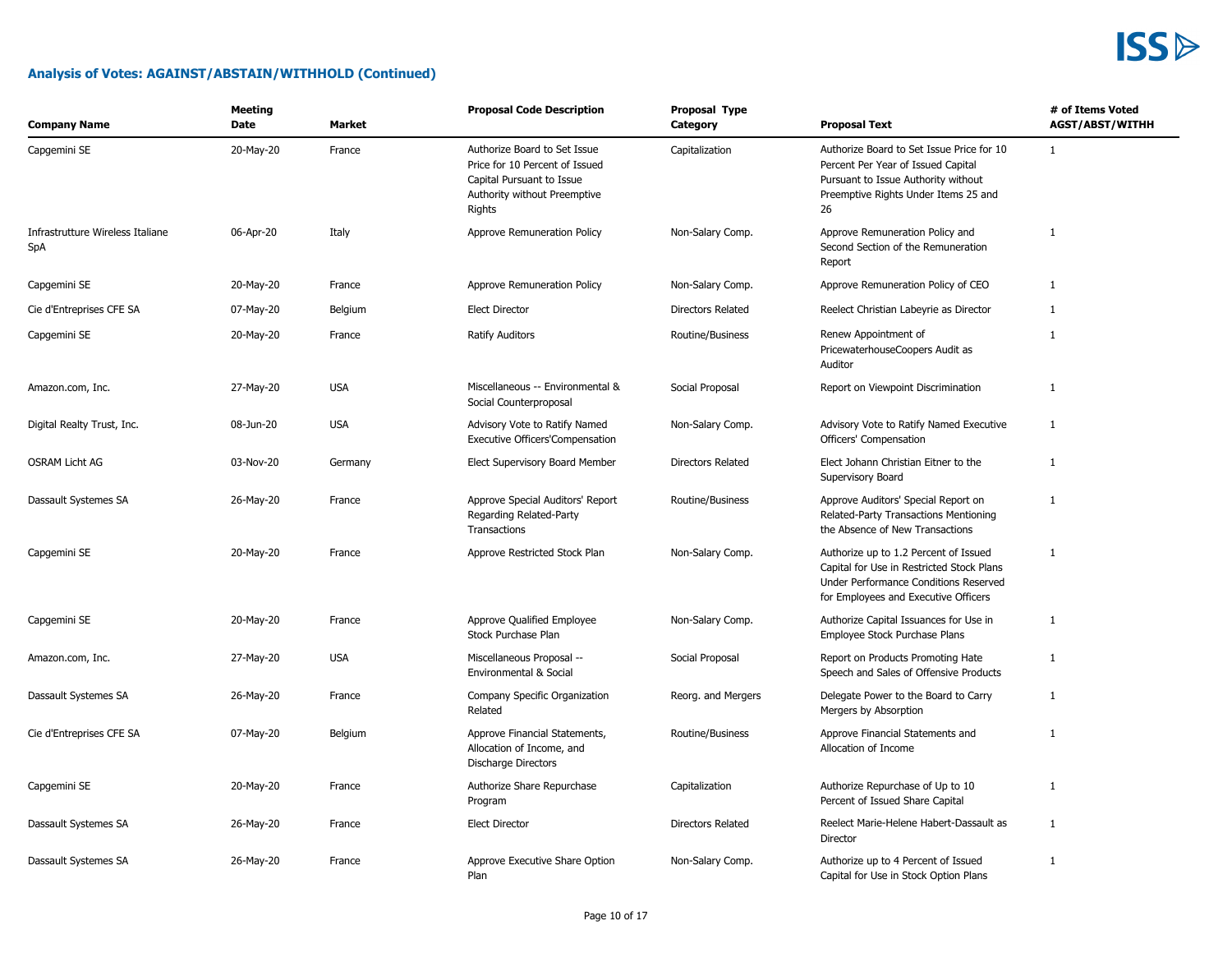

| <b>Company Name</b>                     | Meeting<br>Date | Market     | <b>Proposal Code Description</b>                                                                                                      | Proposal Type<br>Category | <b>Proposal Text</b>                                                                                                                                                 | # of Items Voted<br><b>AGST/ABST/WITHH</b> |
|-----------------------------------------|-----------------|------------|---------------------------------------------------------------------------------------------------------------------------------------|---------------------------|----------------------------------------------------------------------------------------------------------------------------------------------------------------------|--------------------------------------------|
| Capgemini SE                            | 20-May-20       | France     | Authorize Board to Set Issue<br>Price for 10 Percent of Issued<br>Capital Pursuant to Issue<br>Authority without Preemptive<br>Rights | Capitalization            | Authorize Board to Set Issue Price for 10<br>Percent Per Year of Issued Capital<br>Pursuant to Issue Authority without<br>Preemptive Rights Under Items 25 and<br>26 | $\mathbf{1}$                               |
| Infrastrutture Wireless Italiane<br>SpA | 06-Apr-20       | Italy      | Approve Remuneration Policy                                                                                                           | Non-Salary Comp.          | Approve Remuneration Policy and<br>Second Section of the Remuneration<br>Report                                                                                      | 1                                          |
| Capgemini SE                            | 20-May-20       | France     | Approve Remuneration Policy                                                                                                           | Non-Salary Comp.          | Approve Remuneration Policy of CEO                                                                                                                                   | 1                                          |
| Cie d'Entreprises CFE SA                | 07-May-20       | Belgium    | <b>Elect Director</b>                                                                                                                 | <b>Directors Related</b>  | Reelect Christian Labeyrie as Director                                                                                                                               | 1                                          |
| Capgemini SE                            | 20-May-20       | France     | <b>Ratify Auditors</b>                                                                                                                | Routine/Business          | Renew Appointment of<br>PricewaterhouseCoopers Audit as<br>Auditor                                                                                                   | $\mathbf{1}$                               |
| Amazon.com, Inc.                        | 27-May-20       | <b>USA</b> | Miscellaneous -- Environmental &<br>Social Counterproposal                                                                            | Social Proposal           | Report on Viewpoint Discrimination                                                                                                                                   | $\mathbf{1}$                               |
| Digital Realty Trust, Inc.              | 08-Jun-20       | <b>USA</b> | Advisory Vote to Ratify Named<br><b>Executive Officers'Compensation</b>                                                               | Non-Salary Comp.          | Advisory Vote to Ratify Named Executive<br>Officers' Compensation                                                                                                    | 1                                          |
| <b>OSRAM Licht AG</b>                   | 03-Nov-20       | Germany    | Elect Supervisory Board Member                                                                                                        | <b>Directors Related</b>  | Elect Johann Christian Eitner to the<br>Supervisory Board                                                                                                            | $\mathbf{1}$                               |
| Dassault Systemes SA                    | 26-May-20       | France     | Approve Special Auditors' Report<br>Regarding Related-Party<br>Transactions                                                           | Routine/Business          | Approve Auditors' Special Report on<br>Related-Party Transactions Mentioning<br>the Absence of New Transactions                                                      | 1                                          |
| Capgemini SE                            | 20-May-20       | France     | Approve Restricted Stock Plan                                                                                                         | Non-Salary Comp.          | Authorize up to 1.2 Percent of Issued<br>Capital for Use in Restricted Stock Plans<br>Under Performance Conditions Reserved<br>for Employees and Executive Officers  | 1                                          |
| Capgemini SE                            | 20-May-20       | France     | Approve Qualified Employee<br>Stock Purchase Plan                                                                                     | Non-Salary Comp.          | Authorize Capital Issuances for Use in<br>Employee Stock Purchase Plans                                                                                              | $\mathbf{1}$                               |
| Amazon.com, Inc.                        | 27-May-20       | <b>USA</b> | Miscellaneous Proposal --<br>Environmental & Social                                                                                   | Social Proposal           | Report on Products Promoting Hate<br>Speech and Sales of Offensive Products                                                                                          | $\mathbf{1}$                               |
| Dassault Systemes SA                    | 26-May-20       | France     | Company Specific Organization<br>Related                                                                                              | Reorg. and Mergers        | Delegate Power to the Board to Carry<br>Mergers by Absorption                                                                                                        | $\mathbf{1}$                               |
| Cie d'Entreprises CFE SA                | 07-May-20       | Belgium    | Approve Financial Statements,<br>Allocation of Income, and<br>Discharge Directors                                                     | Routine/Business          | Approve Financial Statements and<br>Allocation of Income                                                                                                             | $\mathbf{1}$                               |
| Capgemini SE                            | 20-May-20       | France     | Authorize Share Repurchase<br>Program                                                                                                 | Capitalization            | Authorize Repurchase of Up to 10<br>Percent of Issued Share Capital                                                                                                  | $\mathbf{1}$                               |
| Dassault Systemes SA                    | 26-May-20       | France     | <b>Elect Director</b>                                                                                                                 | <b>Directors Related</b>  | Reelect Marie-Helene Habert-Dassault as<br>Director                                                                                                                  | 1                                          |
| Dassault Systemes SA                    | 26-May-20       | France     | Approve Executive Share Option<br>Plan                                                                                                | Non-Salary Comp.          | Authorize up to 4 Percent of Issued<br>Capital for Use in Stock Option Plans                                                                                         | $\mathbf{1}$                               |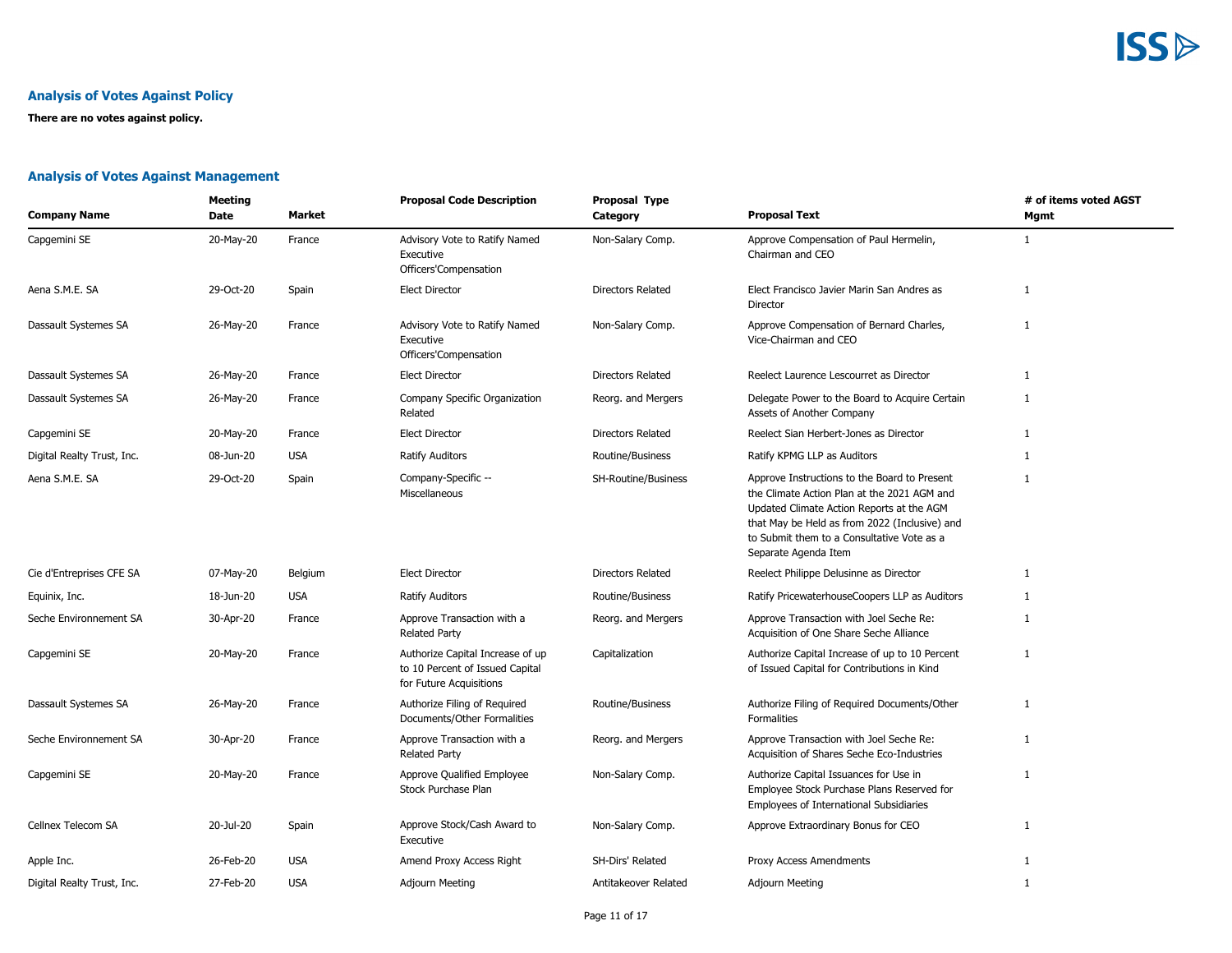#### **Analysis of Votes Against Policy**

**There are no votes against policy.**

#### **Analysis of Votes Against Management**

| <b>Company Name</b>        | <b>Meeting</b><br>Date | <b>Market</b> | <b>Proposal Code Description</b>                                                               | Proposal Type<br>Category | <b>Proposal Text</b>                                                                                                                                                                                                                                            | # of items voted AGST<br>Mgmt |
|----------------------------|------------------------|---------------|------------------------------------------------------------------------------------------------|---------------------------|-----------------------------------------------------------------------------------------------------------------------------------------------------------------------------------------------------------------------------------------------------------------|-------------------------------|
| Capgemini SE               | 20-May-20              | France        | Advisory Vote to Ratify Named<br>Executive<br>Officers'Compensation                            | Non-Salary Comp.          | Approve Compensation of Paul Hermelin,<br>Chairman and CEO                                                                                                                                                                                                      | $\mathbf{1}$                  |
| Aena S.M.E. SA             | 29-Oct-20              | Spain         | <b>Elect Director</b>                                                                          | Directors Related         | Elect Francisco Javier Marin San Andres as<br>Director                                                                                                                                                                                                          | 1                             |
| Dassault Systemes SA       | 26-May-20              | France        | Advisory Vote to Ratify Named<br>Executive<br>Officers'Compensation                            | Non-Salary Comp.          | Approve Compensation of Bernard Charles,<br>Vice-Chairman and CEO                                                                                                                                                                                               | $\mathbf{1}$                  |
| Dassault Systemes SA       | 26-May-20              | France        | <b>Elect Director</b>                                                                          | <b>Directors Related</b>  | Reelect Laurence Lescourret as Director                                                                                                                                                                                                                         | $\mathbf{1}$                  |
| Dassault Systemes SA       | 26-May-20              | France        | Company Specific Organization<br>Related                                                       | Reorg. and Mergers        | Delegate Power to the Board to Acquire Certain<br>Assets of Another Company                                                                                                                                                                                     | $\mathbf{1}$                  |
| Capgemini SE               | 20-May-20              | France        | <b>Elect Director</b>                                                                          | <b>Directors Related</b>  | Reelect Sian Herbert-Jones as Director                                                                                                                                                                                                                          | $\mathbf{1}$                  |
| Digital Realty Trust, Inc. | 08-Jun-20              | <b>USA</b>    | <b>Ratify Auditors</b>                                                                         | Routine/Business          | Ratify KPMG LLP as Auditors                                                                                                                                                                                                                                     | 1                             |
| Aena S.M.E. SA             | 29-Oct-20              | Spain         | Company-Specific --<br>Miscellaneous                                                           | SH-Routine/Business       | Approve Instructions to the Board to Present<br>the Climate Action Plan at the 2021 AGM and<br>Updated Climate Action Reports at the AGM<br>that May be Held as from 2022 (Inclusive) and<br>to Submit them to a Consultative Vote as a<br>Separate Agenda Item | $\mathbf{1}$                  |
| Cie d'Entreprises CFE SA   | 07-May-20              | Belgium       | <b>Elect Director</b>                                                                          | Directors Related         | Reelect Philippe Delusinne as Director                                                                                                                                                                                                                          | 1                             |
| Equinix, Inc.              | 18-Jun-20              | <b>USA</b>    | <b>Ratify Auditors</b>                                                                         | Routine/Business          | Ratify PricewaterhouseCoopers LLP as Auditors                                                                                                                                                                                                                   | -1                            |
| Seche Environnement SA     | 30-Apr-20              | France        | Approve Transaction with a<br><b>Related Party</b>                                             | Reorg. and Mergers        | Approve Transaction with Joel Seche Re:<br>Acquisition of One Share Seche Alliance                                                                                                                                                                              | $\mathbf{1}$                  |
| Capgemini SE               | 20-May-20              | France        | Authorize Capital Increase of up<br>to 10 Percent of Issued Capital<br>for Future Acquisitions | Capitalization            | Authorize Capital Increase of up to 10 Percent<br>of Issued Capital for Contributions in Kind                                                                                                                                                                   | -1                            |
| Dassault Systemes SA       | 26-May-20              | France        | Authorize Filing of Required<br>Documents/Other Formalities                                    | Routine/Business          | Authorize Filing of Required Documents/Other<br>Formalities                                                                                                                                                                                                     | 1                             |
| Seche Environnement SA     | 30-Apr-20              | France        | Approve Transaction with a<br><b>Related Party</b>                                             | Reorg. and Mergers        | Approve Transaction with Joel Seche Re:<br>Acquisition of Shares Seche Eco-Industries                                                                                                                                                                           | $\mathbf{1}$                  |
| Capgemini SE               | 20-May-20              | France        | Approve Qualified Employee<br>Stock Purchase Plan                                              | Non-Salary Comp.          | Authorize Capital Issuances for Use in<br>Employee Stock Purchase Plans Reserved for<br>Employees of International Subsidiaries                                                                                                                                 | 1                             |
| Cellnex Telecom SA         | 20-Jul-20              | Spain         | Approve Stock/Cash Award to<br>Executive                                                       | Non-Salary Comp.          | Approve Extraordinary Bonus for CEO                                                                                                                                                                                                                             | 1                             |
| Apple Inc.                 | 26-Feb-20              | <b>USA</b>    | Amend Proxy Access Right                                                                       | SH-Dirs' Related          | Proxy Access Amendments                                                                                                                                                                                                                                         | 1                             |
| Digital Realty Trust, Inc. | 27-Feb-20              | <b>USA</b>    | Adjourn Meeting                                                                                | Antitakeover Related      | Adjourn Meeting                                                                                                                                                                                                                                                 | 1                             |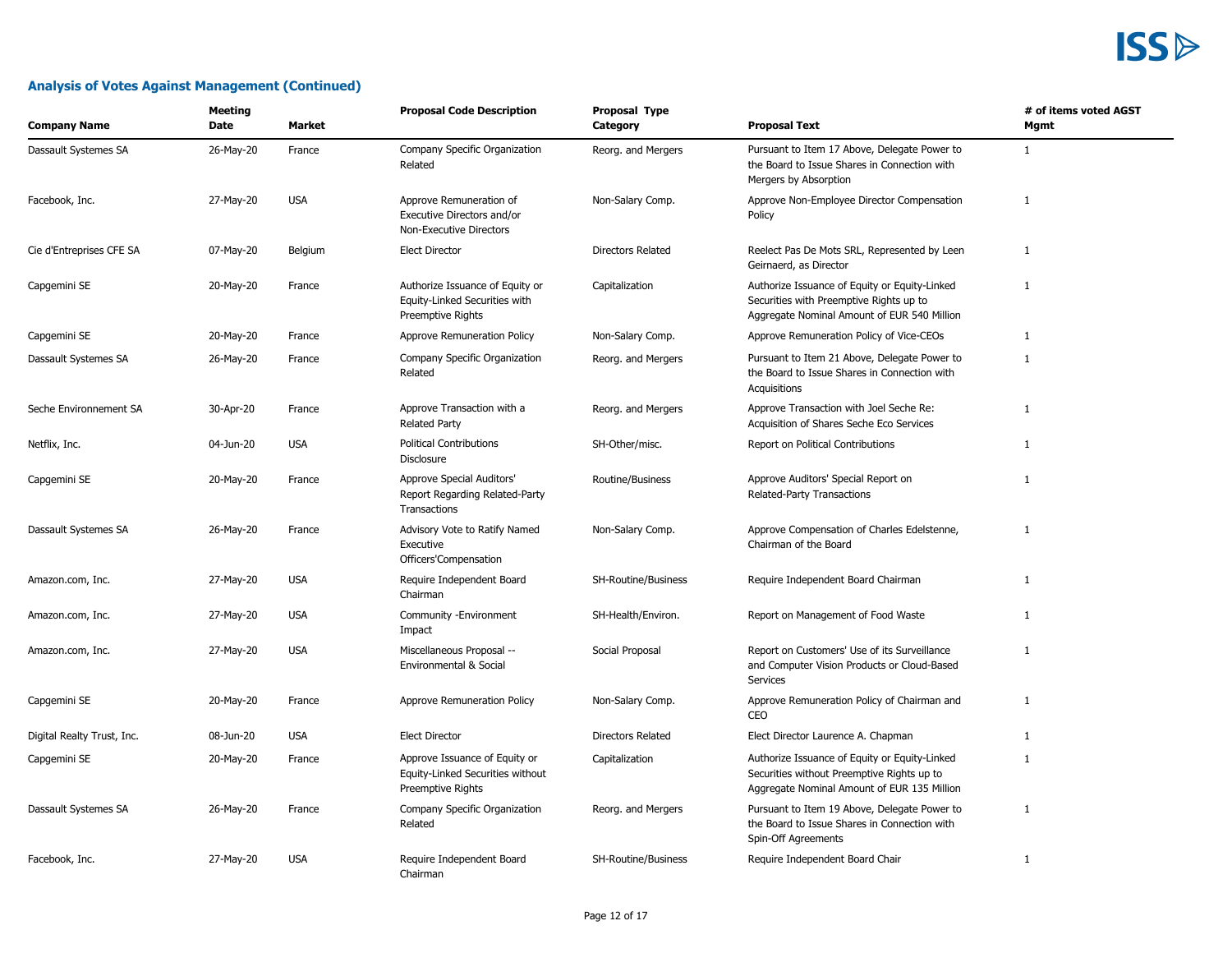| <b>Company Name</b>        | <b>Meeting</b><br>Date | Market     | <b>Proposal Code Description</b>                                                       | Proposal Type<br>Category  | <b>Proposal Text</b>                                                                                                                       | # of items voted AGST<br>Mgmt |
|----------------------------|------------------------|------------|----------------------------------------------------------------------------------------|----------------------------|--------------------------------------------------------------------------------------------------------------------------------------------|-------------------------------|
| Dassault Systemes SA       | 26-May-20              | France     | Company Specific Organization<br>Related                                               | Reorg. and Mergers         | Pursuant to Item 17 Above, Delegate Power to<br>the Board to Issue Shares in Connection with<br>Mergers by Absorption                      | $\mathbf{1}$                  |
| Facebook, Inc.             | 27-May-20              | <b>USA</b> | Approve Remuneration of<br>Executive Directors and/or<br>Non-Executive Directors       | Non-Salary Comp.           | Approve Non-Employee Director Compensation<br>Policy                                                                                       | $\mathbf{1}$                  |
| Cie d'Entreprises CFE SA   | 07-May-20              | Belgium    | <b>Elect Director</b>                                                                  | <b>Directors Related</b>   | Reelect Pas De Mots SRL, Represented by Leen<br>Geirnaerd, as Director                                                                     | 1                             |
| Capgemini SE               | 20-May-20              | France     | Authorize Issuance of Equity or<br>Equity-Linked Securities with<br>Preemptive Rights  | Capitalization             | Authorize Issuance of Equity or Equity-Linked<br>Securities with Preemptive Rights up to<br>Aggregate Nominal Amount of EUR 540 Million    | $\mathbf{1}$                  |
| Capgemini SE               | 20-May-20              | France     | Approve Remuneration Policy                                                            | Non-Salary Comp.           | Approve Remuneration Policy of Vice-CEOs                                                                                                   | $\mathbf{1}$                  |
| Dassault Systemes SA       | 26-May-20              | France     | Company Specific Organization<br>Related                                               | Reorg. and Mergers         | Pursuant to Item 21 Above, Delegate Power to<br>the Board to Issue Shares in Connection with<br>Acquisitions                               | $\mathbf{1}$                  |
| Seche Environnement SA     | 30-Apr-20              | France     | Approve Transaction with a<br><b>Related Party</b>                                     | Reorg. and Mergers         | Approve Transaction with Joel Seche Re:<br>Acquisition of Shares Seche Eco Services                                                        | $\mathbf{1}$                  |
| Netflix, Inc.              | 04-Jun-20              | <b>USA</b> | <b>Political Contributions</b><br>Disclosure                                           | SH-Other/misc.             | Report on Political Contributions                                                                                                          | $\mathbf{1}$                  |
| Capgemini SE               | 20-May-20              | France     | Approve Special Auditors'<br>Report Regarding Related-Party<br>Transactions            | <b>Routine/Business</b>    | Approve Auditors' Special Report on<br>Related-Party Transactions                                                                          | $\mathbf{1}$                  |
| Dassault Systemes SA       | 26-May-20              | France     | Advisory Vote to Ratify Named<br>Executive<br>Officers'Compensation                    | Non-Salary Comp.           | Approve Compensation of Charles Edelstenne,<br>Chairman of the Board                                                                       | 1                             |
| Amazon.com, Inc.           | 27-May-20              | <b>USA</b> | Require Independent Board<br>Chairman                                                  | <b>SH-Routine/Business</b> | Require Independent Board Chairman                                                                                                         | $\mathbf{1}$                  |
| Amazon.com, Inc.           | 27-May-20              | <b>USA</b> | Community - Environment<br>Impact                                                      | SH-Health/Environ.         | Report on Management of Food Waste                                                                                                         | $\mathbf{1}$                  |
| Amazon.com, Inc.           | 27-May-20              | <b>USA</b> | Miscellaneous Proposal --<br>Environmental & Social                                    | Social Proposal            | Report on Customers' Use of its Surveillance<br>and Computer Vision Products or Cloud-Based<br>Services                                    | $\mathbf{1}$                  |
| Capgemini SE               | 20-May-20              | France     | Approve Remuneration Policy                                                            | Non-Salary Comp.           | Approve Remuneration Policy of Chairman and<br>CEO                                                                                         | $\mathbf{1}$                  |
| Digital Realty Trust, Inc. | 08-Jun-20              | <b>USA</b> | <b>Elect Director</b>                                                                  | <b>Directors Related</b>   | Elect Director Laurence A. Chapman                                                                                                         | $\mathbf{1}$                  |
| Capgemini SE               | 20-May-20              | France     | Approve Issuance of Equity or<br>Equity-Linked Securities without<br>Preemptive Rights | Capitalization             | Authorize Issuance of Equity or Equity-Linked<br>Securities without Preemptive Rights up to<br>Aggregate Nominal Amount of EUR 135 Million | $\mathbf{1}$                  |
| Dassault Systemes SA       | 26-May-20              | France     | Company Specific Organization<br>Related                                               | Reorg. and Mergers         | Pursuant to Item 19 Above, Delegate Power to<br>the Board to Issue Shares in Connection with<br>Spin-Off Agreements                        | $\mathbf{1}$                  |
| Facebook, Inc.             | 27-May-20              | <b>USA</b> | Require Independent Board<br>Chairman                                                  | SH-Routine/Business        | Require Independent Board Chair                                                                                                            | $\mathbf{1}$                  |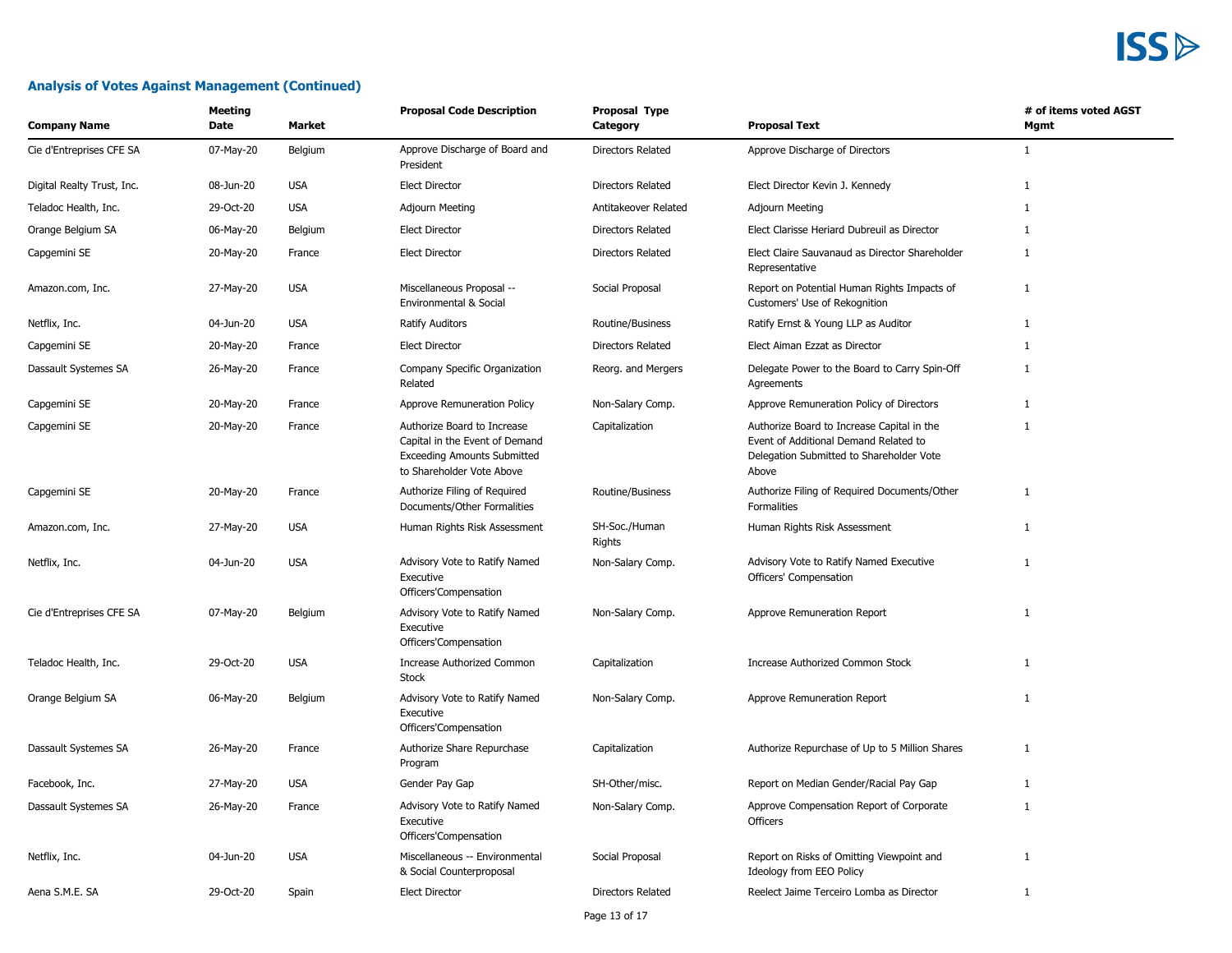#### **Analysis of Votes Against Management (Continued)**

| <b>Company Name</b>        | Meeting<br>Date | <b>Market</b> | <b>Proposal Code Description</b>                                                                                                 | <b>Proposal Type</b><br>Category | <b>Proposal Text</b>                                                                                                                     | # of items voted AGST<br>Mgmt |
|----------------------------|-----------------|---------------|----------------------------------------------------------------------------------------------------------------------------------|----------------------------------|------------------------------------------------------------------------------------------------------------------------------------------|-------------------------------|
| Cie d'Entreprises CFE SA   | 07-May-20       | Belgium       | Approve Discharge of Board and<br>President                                                                                      | Directors Related                | Approve Discharge of Directors                                                                                                           | $\mathbf{1}$                  |
| Digital Realty Trust, Inc. | 08-Jun-20       | <b>USA</b>    | <b>Elect Director</b>                                                                                                            | Directors Related                | Elect Director Kevin J. Kennedy                                                                                                          | $\mathbf{1}$                  |
| Teladoc Health, Inc.       | 29-Oct-20       | <b>USA</b>    | <b>Adjourn Meeting</b>                                                                                                           | Antitakeover Related             | <b>Adjourn Meeting</b>                                                                                                                   | 1                             |
| Orange Belgium SA          | 06-May-20       | Belgium       | <b>Elect Director</b>                                                                                                            | <b>Directors Related</b>         | Elect Clarisse Heriard Dubreuil as Director                                                                                              | 1                             |
| Capgemini SE               | 20-May-20       | France        | <b>Elect Director</b>                                                                                                            | <b>Directors Related</b>         | Elect Claire Sauvanaud as Director Shareholder<br>Representative                                                                         | 1                             |
| Amazon.com, Inc.           | 27-May-20       | <b>USA</b>    | Miscellaneous Proposal --<br>Environmental & Social                                                                              | Social Proposal                  | Report on Potential Human Rights Impacts of<br>Customers' Use of Rekognition                                                             | 1                             |
| Netflix, Inc.              | 04-Jun-20       | <b>USA</b>    | Ratify Auditors                                                                                                                  | Routine/Business                 | Ratify Ernst & Young LLP as Auditor                                                                                                      | $\mathbf{1}$                  |
| Capgemini SE               | 20-May-20       | France        | <b>Elect Director</b>                                                                                                            | Directors Related                | Elect Aiman Ezzat as Director                                                                                                            | $\mathbf{1}$                  |
| Dassault Systemes SA       | 26-May-20       | France        | Company Specific Organization<br>Related                                                                                         | Reorg. and Mergers               | Delegate Power to the Board to Carry Spin-Off<br>Agreements                                                                              | 1                             |
| Capgemini SE               | 20-May-20       | France        | Approve Remuneration Policy                                                                                                      | Non-Salary Comp.                 | Approve Remuneration Policy of Directors                                                                                                 | $\mathbf{1}$                  |
| Capgemini SE               | 20-May-20       | France        | Authorize Board to Increase<br>Capital in the Event of Demand<br><b>Exceeding Amounts Submitted</b><br>to Shareholder Vote Above | Capitalization                   | Authorize Board to Increase Capital in the<br>Event of Additional Demand Related to<br>Delegation Submitted to Shareholder Vote<br>Above | $\mathbf{1}$                  |
| Capgemini SE               | 20-May-20       | France        | Authorize Filing of Required<br>Documents/Other Formalities                                                                      | Routine/Business                 | Authorize Filing of Required Documents/Other<br>Formalities                                                                              | $\mathbf{1}$                  |
| Amazon.com, Inc.           | 27-May-20       | <b>USA</b>    | Human Rights Risk Assessment                                                                                                     | SH-Soc./Human<br>Rights          | Human Rights Risk Assessment                                                                                                             | $\mathbf{1}$                  |
| Netflix, Inc.              | 04-Jun-20       | <b>USA</b>    | Advisory Vote to Ratify Named<br>Executive<br>Officers'Compensation                                                              | Non-Salary Comp.                 | Advisory Vote to Ratify Named Executive<br>Officers' Compensation                                                                        | $\mathbf{1}$                  |
| Cie d'Entreprises CFE SA   | 07-May-20       | Belgium       | Advisory Vote to Ratify Named<br>Executive<br>Officers'Compensation                                                              | Non-Salary Comp.                 | Approve Remuneration Report                                                                                                              | 1                             |
| Teladoc Health, Inc.       | 29-Oct-20       | <b>USA</b>    | Increase Authorized Common<br><b>Stock</b>                                                                                       | Capitalization                   | Increase Authorized Common Stock                                                                                                         | $\mathbf{1}$                  |
| Orange Belgium SA          | 06-May-20       | Belgium       | Advisory Vote to Ratify Named<br>Executive<br>Officers'Compensation                                                              | Non-Salary Comp.                 | Approve Remuneration Report                                                                                                              | 1                             |
| Dassault Systemes SA       | 26-May-20       | France        | Authorize Share Repurchase<br>Program                                                                                            | Capitalization                   | Authorize Repurchase of Up to 5 Million Shares                                                                                           | $\mathbf{1}$                  |
| Facebook, Inc.             | 27-May-20       | <b>USA</b>    | Gender Pay Gap                                                                                                                   | SH-Other/misc.                   | Report on Median Gender/Racial Pay Gap                                                                                                   | $\mathbf{1}$                  |
| Dassault Systemes SA       | 26-May-20       | France        | Advisory Vote to Ratify Named<br>Executive<br>Officers'Compensation                                                              | Non-Salary Comp.                 | Approve Compensation Report of Corporate<br><b>Officers</b>                                                                              | 1                             |
| Netflix, Inc.              | 04-Jun-20       | <b>USA</b>    | Miscellaneous -- Environmental<br>& Social Counterproposal                                                                       | Social Proposal                  | Report on Risks of Omitting Viewpoint and<br>Ideology from EEO Policy                                                                    | $\mathbf{1}$                  |
| Aena S.M.E. SA             | 29-Oct-20       | Spain         | <b>Elect Director</b>                                                                                                            | Directors Related                | Reelect Jaime Terceiro Lomba as Director                                                                                                 | 1                             |

Page 13 of 17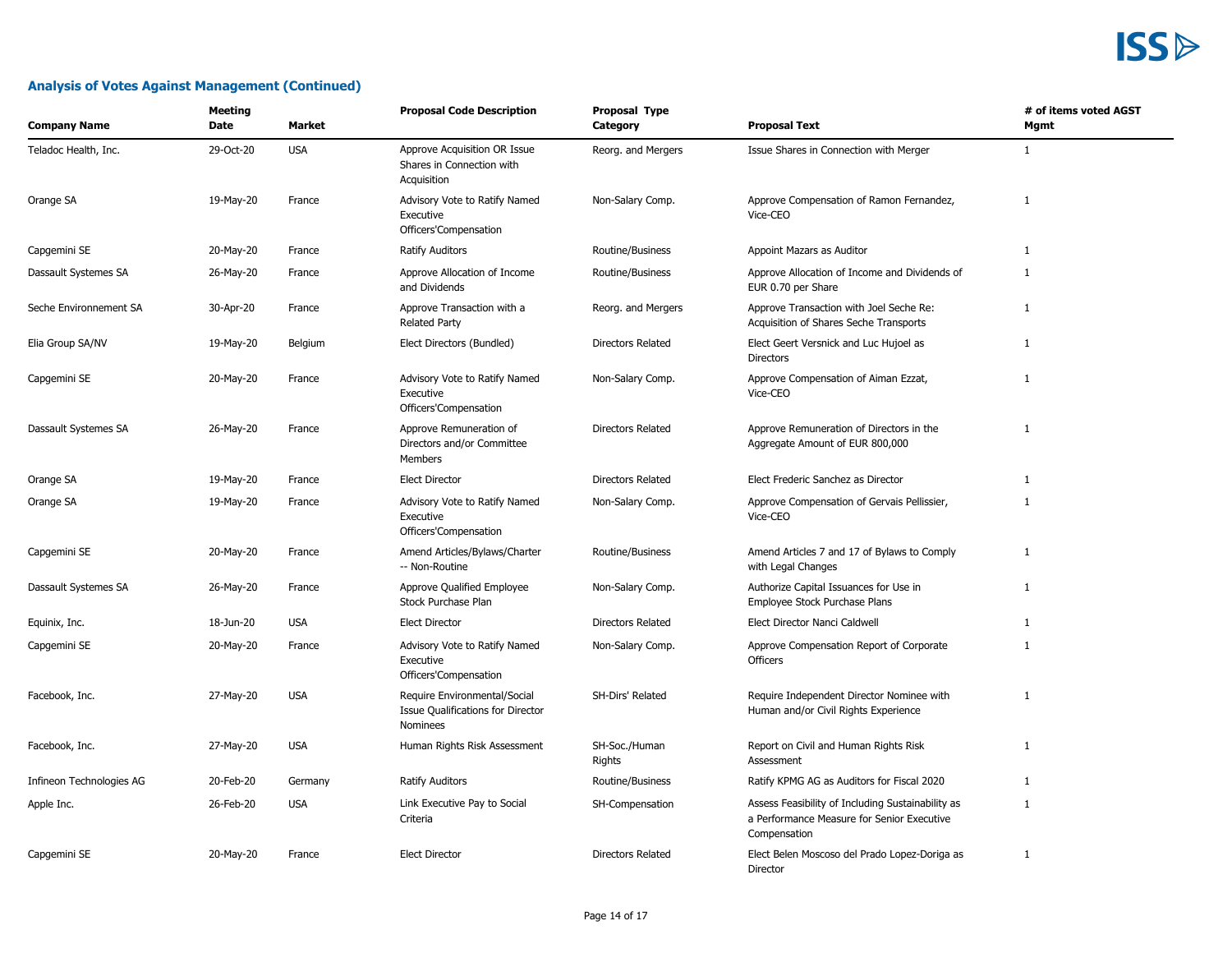| <b>Company Name</b>      | <b>Meeting</b><br>Date | <b>Market</b> | <b>Proposal Code Description</b>                                              | <b>Proposal Type</b><br>Category | <b>Proposal Text</b>                                                                                            | # of items voted AGST<br>Mgmt |
|--------------------------|------------------------|---------------|-------------------------------------------------------------------------------|----------------------------------|-----------------------------------------------------------------------------------------------------------------|-------------------------------|
| Teladoc Health, Inc.     | 29-Oct-20              | <b>USA</b>    | Approve Acquisition OR Issue<br>Shares in Connection with<br>Acquisition      | Reorg. and Mergers               | Issue Shares in Connection with Merger                                                                          | $\mathbf{1}$                  |
| Orange SA                | 19-May-20              | France        | Advisory Vote to Ratify Named<br>Executive<br>Officers'Compensation           | Non-Salary Comp.                 | Approve Compensation of Ramon Fernandez,<br>Vice-CEO                                                            | 1                             |
| Capgemini SE             | 20-May-20              | France        | Ratify Auditors                                                               | Routine/Business                 | Appoint Mazars as Auditor                                                                                       | $\mathbf{1}$                  |
| Dassault Systemes SA     | 26-May-20              | France        | Approve Allocation of Income<br>and Dividends                                 | Routine/Business                 | Approve Allocation of Income and Dividends of<br>EUR 0.70 per Share                                             | $\mathbf{1}$                  |
| Seche Environnement SA   | 30-Apr-20              | France        | Approve Transaction with a<br><b>Related Party</b>                            | Reorg. and Mergers               | Approve Transaction with Joel Seche Re:<br>Acquisition of Shares Seche Transports                               | $\mathbf{1}$                  |
| Elia Group SA/NV         | 19-May-20              | Belgium       | Elect Directors (Bundled)                                                     | <b>Directors Related</b>         | Elect Geert Versnick and Luc Hujoel as<br><b>Directors</b>                                                      | $\mathbf{1}$                  |
| Capgemini SE             | 20-May-20              | France        | Advisory Vote to Ratify Named<br>Executive<br>Officers'Compensation           | Non-Salary Comp.                 | Approve Compensation of Aiman Ezzat,<br>Vice-CEO                                                                | $\mathbf{1}$                  |
| Dassault Systemes SA     | 26-May-20              | France        | Approve Remuneration of<br>Directors and/or Committee<br>Members              | <b>Directors Related</b>         | Approve Remuneration of Directors in the<br>Aggregate Amount of EUR 800,000                                     | $\mathbf{1}$                  |
| Orange SA                | 19-May-20              | France        | <b>Elect Director</b>                                                         | <b>Directors Related</b>         | Elect Frederic Sanchez as Director                                                                              | $\mathbf{1}$                  |
| Orange SA                | 19-May-20              | France        | Advisory Vote to Ratify Named<br>Executive<br>Officers'Compensation           | Non-Salary Comp.                 | Approve Compensation of Gervais Pellissier,<br>Vice-CEO                                                         | $\mathbf{1}$                  |
| Capgemini SE             | 20-May-20              | France        | Amend Articles/Bylaws/Charter<br>-- Non-Routine                               | Routine/Business                 | Amend Articles 7 and 17 of Bylaws to Comply<br>with Legal Changes                                               | $\mathbf{1}$                  |
| Dassault Systemes SA     | 26-May-20              | France        | Approve Qualified Employee<br>Stock Purchase Plan                             | Non-Salary Comp.                 | Authorize Capital Issuances for Use in<br>Employee Stock Purchase Plans                                         | $\mathbf{1}$                  |
| Equinix, Inc.            | 18-Jun-20              | <b>USA</b>    | <b>Elect Director</b>                                                         | <b>Directors Related</b>         | Elect Director Nanci Caldwell                                                                                   | $\mathbf{1}$                  |
| Capgemini SE             | 20-May-20              | France        | Advisory Vote to Ratify Named<br>Executive<br>Officers'Compensation           | Non-Salary Comp.                 | Approve Compensation Report of Corporate<br>Officers                                                            | $\mathbf{1}$                  |
| Facebook, Inc.           | 27-May-20              | <b>USA</b>    | Require Environmental/Social<br>Issue Qualifications for Director<br>Nominees | SH-Dirs' Related                 | Require Independent Director Nominee with<br>Human and/or Civil Rights Experience                               | $\mathbf{1}$                  |
| Facebook, Inc.           | 27-May-20              | <b>USA</b>    | Human Rights Risk Assessment                                                  | SH-Soc./Human<br>Rights          | Report on Civil and Human Rights Risk<br>Assessment                                                             | $\mathbf{1}$                  |
| Infineon Technologies AG | 20-Feb-20              | Germany       | <b>Ratify Auditors</b>                                                        | Routine/Business                 | Ratify KPMG AG as Auditors for Fiscal 2020                                                                      | $\mathbf{1}$                  |
| Apple Inc.               | 26-Feb-20              | <b>USA</b>    | Link Executive Pay to Social<br>Criteria                                      | SH-Compensation                  | Assess Feasibility of Including Sustainability as<br>a Performance Measure for Senior Executive<br>Compensation | 1                             |
| Capgemini SE             | 20-May-20              | France        | <b>Elect Director</b>                                                         | <b>Directors Related</b>         | Elect Belen Moscoso del Prado Lopez-Doriga as<br>Director                                                       | $\mathbf{1}$                  |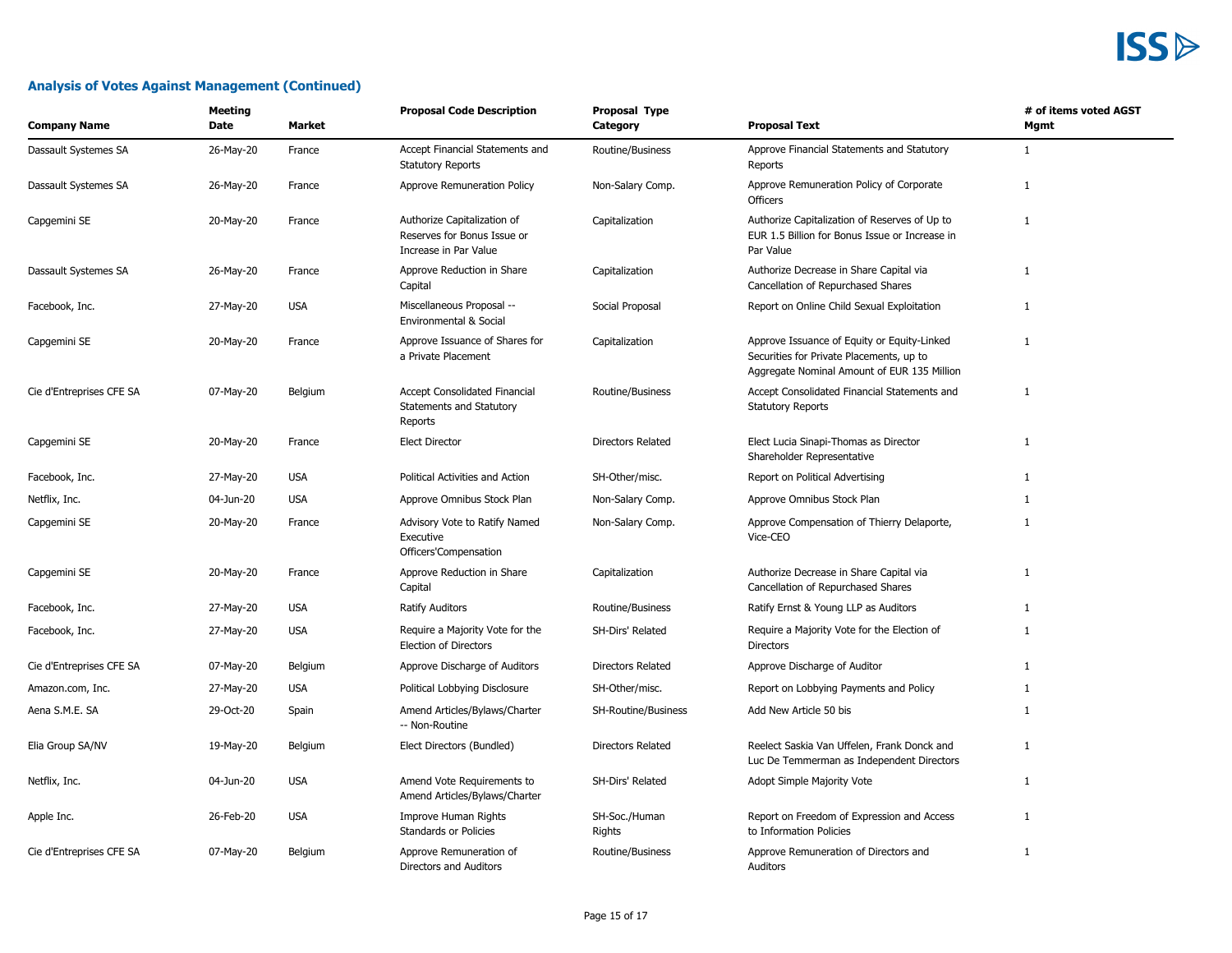| Meeting<br><b>Company Name</b><br>Date |           | <b>Market</b> | <b>Proposal Code Description</b>                                                    | <b>Proposal Type</b><br>Category | <b>Proposal Text</b>                                                                                                                   | # of items voted AGST<br>Mgmt |  |
|----------------------------------------|-----------|---------------|-------------------------------------------------------------------------------------|----------------------------------|----------------------------------------------------------------------------------------------------------------------------------------|-------------------------------|--|
| Dassault Systemes SA                   | 26-May-20 | France        | Accept Financial Statements and<br><b>Statutory Reports</b>                         | Routine/Business                 | Approve Financial Statements and Statutory<br>Reports                                                                                  | $\mathbf{1}$                  |  |
| Dassault Systemes SA                   | 26-May-20 | France        | Approve Remuneration Policy                                                         | Non-Salary Comp.                 | Approve Remuneration Policy of Corporate<br><b>Officers</b>                                                                            | $\mathbf{1}$                  |  |
| Capgemini SE                           | 20-May-20 | France        | Authorize Capitalization of<br>Reserves for Bonus Issue or<br>Increase in Par Value | Capitalization                   | Authorize Capitalization of Reserves of Up to<br>EUR 1.5 Billion for Bonus Issue or Increase in<br>Par Value                           | $\mathbf{1}$                  |  |
| Dassault Systemes SA                   | 26-May-20 | France        | Approve Reduction in Share<br>Capital                                               | Capitalization                   | Authorize Decrease in Share Capital via<br>Cancellation of Repurchased Shares                                                          | $\mathbf{1}$                  |  |
| Facebook, Inc.                         | 27-May-20 | <b>USA</b>    | Miscellaneous Proposal --<br>Environmental & Social                                 | Social Proposal                  | Report on Online Child Sexual Exploitation                                                                                             | $\mathbf{1}$                  |  |
| Capgemini SE                           | 20-May-20 | France        | Approve Issuance of Shares for<br>a Private Placement                               | Capitalization                   | Approve Issuance of Equity or Equity-Linked<br>Securities for Private Placements, up to<br>Aggregate Nominal Amount of EUR 135 Million | $\mathbf{1}$                  |  |
| Cie d'Entreprises CFE SA               | 07-May-20 | Belgium       | <b>Accept Consolidated Financial</b><br>Statements and Statutory<br>Reports         | Routine/Business                 | Accept Consolidated Financial Statements and<br><b>Statutory Reports</b>                                                               | $\mathbf{1}$                  |  |
| Capgemini SE                           | 20-May-20 | France        | <b>Elect Director</b>                                                               | <b>Directors Related</b>         | Elect Lucia Sinapi-Thomas as Director<br>Shareholder Representative                                                                    | $\mathbf{1}$                  |  |
| Facebook, Inc.                         | 27-May-20 | <b>USA</b>    | Political Activities and Action                                                     | SH-Other/misc.                   | Report on Political Advertising                                                                                                        | $\mathbf{1}$                  |  |
| Netflix, Inc.                          | 04-Jun-20 | <b>USA</b>    | Approve Omnibus Stock Plan                                                          | Non-Salary Comp.                 | Approve Omnibus Stock Plan                                                                                                             | 1                             |  |
| Capgemini SE                           | 20-May-20 | France        | Advisory Vote to Ratify Named<br>Executive<br>Officers'Compensation                 | Non-Salary Comp.                 | Approve Compensation of Thierry Delaporte,<br>Vice-CEO                                                                                 | $\mathbf{1}$                  |  |
| Capgemini SE                           | 20-May-20 | France        | Approve Reduction in Share<br>Capital                                               | Capitalization                   | Authorize Decrease in Share Capital via<br>Cancellation of Repurchased Shares                                                          | $\mathbf{1}$                  |  |
| Facebook, Inc.                         | 27-May-20 | <b>USA</b>    | <b>Ratify Auditors</b>                                                              | Routine/Business                 | Ratify Ernst & Young LLP as Auditors                                                                                                   | 1                             |  |
| Facebook, Inc.                         | 27-May-20 | <b>USA</b>    | Require a Majority Vote for the<br><b>Election of Directors</b>                     | <b>SH-Dirs' Related</b>          | Require a Majority Vote for the Election of<br>Directors                                                                               | $\mathbf{1}$                  |  |
| Cie d'Entreprises CFE SA               | 07-May-20 | Belgium       | Approve Discharge of Auditors                                                       | <b>Directors Related</b>         | Approve Discharge of Auditor                                                                                                           | 1                             |  |
| Amazon.com, Inc.                       | 27-May-20 | <b>USA</b>    | Political Lobbying Disclosure                                                       | SH-Other/misc.                   | Report on Lobbying Payments and Policy                                                                                                 | $\mathbf{1}$                  |  |
| Aena S.M.E. SA                         | 29-Oct-20 | Spain         | Amend Articles/Bylaws/Charter<br>-- Non-Routine                                     | SH-Routine/Business              | Add New Article 50 bis                                                                                                                 | $\mathbf{1}$                  |  |
| Elia Group SA/NV                       | 19-May-20 | Belgium       | Elect Directors (Bundled)                                                           | <b>Directors Related</b>         | Reelect Saskia Van Uffelen, Frank Donck and<br>Luc De Temmerman as Independent Directors                                               | $\mathbf{1}$                  |  |
| Netflix, Inc.                          | 04-Jun-20 | <b>USA</b>    | Amend Vote Requirements to<br>Amend Articles/Bylaws/Charter                         | <b>SH-Dirs' Related</b>          | Adopt Simple Majority Vote                                                                                                             | 1                             |  |
| Apple Inc.                             | 26-Feb-20 | <b>USA</b>    | Improve Human Rights<br>Standards or Policies                                       | SH-Soc./Human<br>Rights          | Report on Freedom of Expression and Access<br>to Information Policies                                                                  | $\mathbf{1}$                  |  |
| Cie d'Entreprises CFE SA               | 07-May-20 | Belgium       | Approve Remuneration of<br>Directors and Auditors                                   | Routine/Business                 | Approve Remuneration of Directors and<br>Auditors                                                                                      | $\mathbf{1}$                  |  |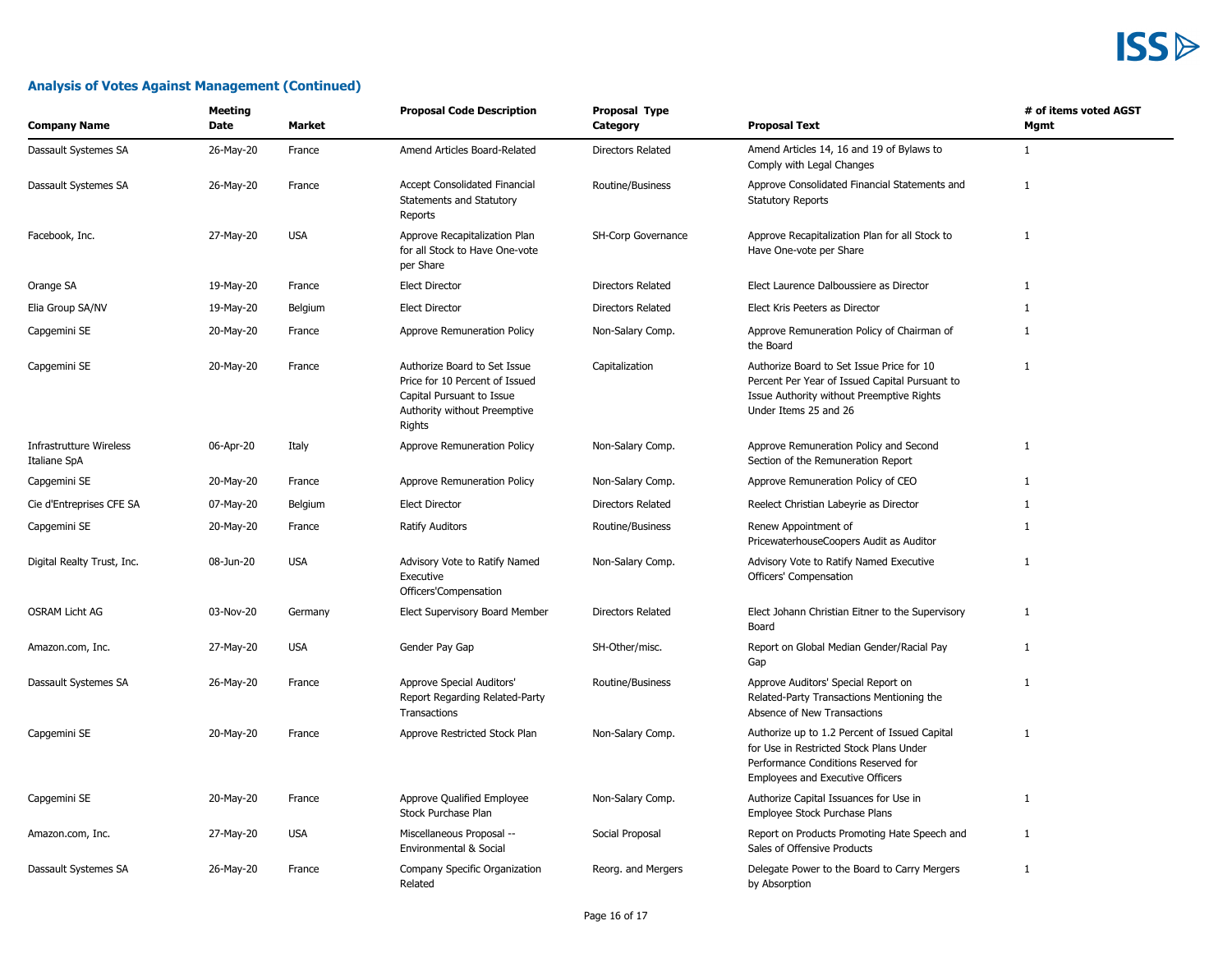| <b>Company Name</b>                            | Meeting<br><b>Proposal Code Description</b><br>Proposal Type<br>Date<br>Market<br><b>Proposal Text</b><br>Category |            | # of items voted AGST<br>Mgmt                                                                                                         |                          |                                                                                                                                                                     |              |
|------------------------------------------------|--------------------------------------------------------------------------------------------------------------------|------------|---------------------------------------------------------------------------------------------------------------------------------------|--------------------------|---------------------------------------------------------------------------------------------------------------------------------------------------------------------|--------------|
| Dassault Systemes SA                           | 26-May-20                                                                                                          | France     | Amend Articles Board-Related                                                                                                          | Directors Related        | Amend Articles 14, 16 and 19 of Bylaws to<br>Comply with Legal Changes                                                                                              | $\mathbf{1}$ |
| Dassault Systemes SA                           | 26-May-20                                                                                                          | France     | Accept Consolidated Financial<br>Statements and Statutory<br>Reports                                                                  | Routine/Business         | Approve Consolidated Financial Statements and<br><b>Statutory Reports</b>                                                                                           | $\mathbf{1}$ |
| Facebook, Inc.                                 | 27-May-20                                                                                                          | <b>USA</b> | Approve Recapitalization Plan<br>for all Stock to Have One-vote<br>per Share                                                          | SH-Corp Governance       | Approve Recapitalization Plan for all Stock to<br>Have One-vote per Share                                                                                           | 1            |
| Orange SA                                      | 19-May-20                                                                                                          | France     | <b>Elect Director</b>                                                                                                                 | Directors Related        | Elect Laurence Dalboussiere as Director                                                                                                                             | $\mathbf{1}$ |
| Elia Group SA/NV                               | 19-May-20                                                                                                          | Belgium    | <b>Elect Director</b>                                                                                                                 | Directors Related        | Elect Kris Peeters as Director                                                                                                                                      | 1            |
| Capgemini SE                                   | 20-May-20                                                                                                          | France     | Approve Remuneration Policy                                                                                                           | Non-Salary Comp.         | Approve Remuneration Policy of Chairman of<br>the Board                                                                                                             | 1            |
| Capgemini SE                                   | 20-May-20                                                                                                          | France     | Authorize Board to Set Issue<br>Price for 10 Percent of Issued<br>Capital Pursuant to Issue<br>Authority without Preemptive<br>Rights | Capitalization           | Authorize Board to Set Issue Price for 10<br>Percent Per Year of Issued Capital Pursuant to<br>Issue Authority without Preemptive Rights<br>Under Items 25 and 26   | $\mathbf{1}$ |
| <b>Infrastrutture Wireless</b><br>Italiane SpA | 06-Apr-20                                                                                                          | Italy      | Approve Remuneration Policy                                                                                                           | Non-Salary Comp.         | Approve Remuneration Policy and Second<br>Section of the Remuneration Report                                                                                        | 1            |
| Capgemini SE                                   | 20-May-20                                                                                                          | France     | Approve Remuneration Policy                                                                                                           | Non-Salary Comp.         | Approve Remuneration Policy of CEO                                                                                                                                  | $\mathbf{1}$ |
| Cie d'Entreprises CFE SA                       | 07-May-20                                                                                                          | Belgium    | <b>Elect Director</b>                                                                                                                 | <b>Directors Related</b> | Reelect Christian Labeyrie as Director                                                                                                                              | $\mathbf{1}$ |
| Capgemini SE                                   | 20-May-20                                                                                                          | France     | <b>Ratify Auditors</b>                                                                                                                | Routine/Business         | Renew Appointment of<br>PricewaterhouseCoopers Audit as Auditor                                                                                                     | 1            |
| Digital Realty Trust, Inc.                     | 08-Jun-20                                                                                                          | <b>USA</b> | Advisory Vote to Ratify Named<br>Executive<br>Officers'Compensation                                                                   | Non-Salary Comp.         | Advisory Vote to Ratify Named Executive<br>Officers' Compensation                                                                                                   | 1            |
| <b>OSRAM Licht AG</b>                          | 03-Nov-20                                                                                                          | Germany    | Elect Supervisory Board Member                                                                                                        | Directors Related        | Elect Johann Christian Eitner to the Supervisory<br>Board                                                                                                           | 1            |
| Amazon.com, Inc.                               | 27-May-20                                                                                                          | <b>USA</b> | Gender Pay Gap                                                                                                                        | SH-Other/misc.           | Report on Global Median Gender/Racial Pay<br>Gap                                                                                                                    | $\mathbf{1}$ |
| Dassault Systemes SA                           | 26-May-20                                                                                                          | France     | Approve Special Auditors'<br>Report Regarding Related-Party<br>Transactions                                                           | Routine/Business         | Approve Auditors' Special Report on<br>Related-Party Transactions Mentioning the<br>Absence of New Transactions                                                     | $\mathbf{1}$ |
| Capgemini SE                                   | 20-May-20                                                                                                          | France     | Approve Restricted Stock Plan                                                                                                         | Non-Salary Comp.         | Authorize up to 1.2 Percent of Issued Capital<br>for Use in Restricted Stock Plans Under<br>Performance Conditions Reserved for<br>Employees and Executive Officers | 1            |
| Capgemini SE                                   | 20-May-20                                                                                                          | France     | Approve Qualified Employee<br>Stock Purchase Plan                                                                                     | Non-Salary Comp.         | Authorize Capital Issuances for Use in<br>Employee Stock Purchase Plans                                                                                             | $\mathbf{1}$ |
| Amazon.com, Inc.                               | 27-May-20                                                                                                          | <b>USA</b> | Miscellaneous Proposal --<br>Environmental & Social                                                                                   | Social Proposal          | Report on Products Promoting Hate Speech and<br>Sales of Offensive Products                                                                                         | 1            |
| Dassault Systemes SA                           | 26-May-20                                                                                                          | France     | Company Specific Organization<br>Related                                                                                              | Reorg. and Mergers       | Delegate Power to the Board to Carry Mergers<br>by Absorption                                                                                                       | $\,$ 1 $\,$  |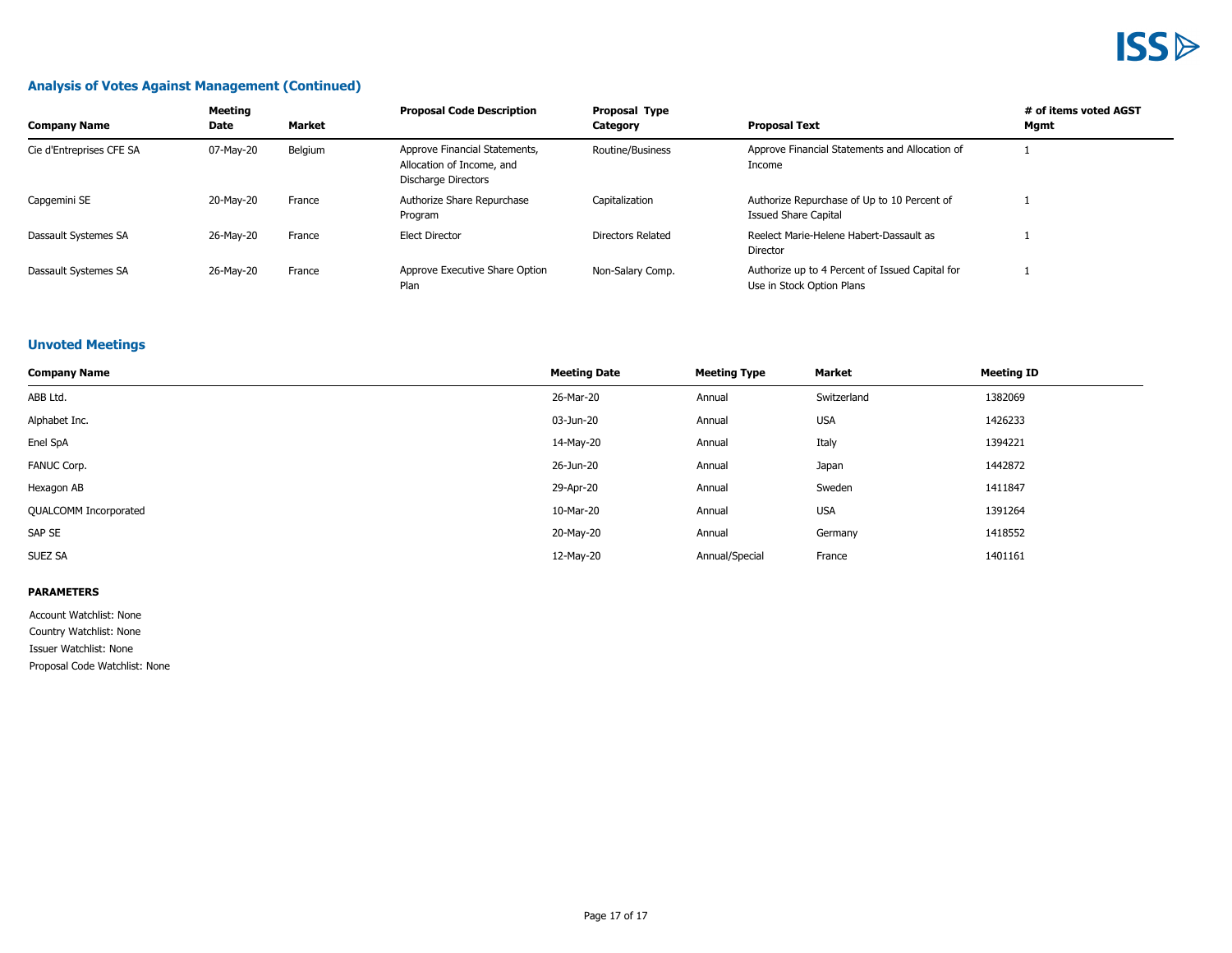#### **Analysis of Votes Against Management (Continued)**

| <b>Company Name</b>      | Meeting<br>Date | Market  | <b>Proposal Code Description</b>                                                  | Proposal Type<br>Category                                                    | <b>Proposal Text</b>                                                         | # of items voted AGST<br>Mgmt |
|--------------------------|-----------------|---------|-----------------------------------------------------------------------------------|------------------------------------------------------------------------------|------------------------------------------------------------------------------|-------------------------------|
| Cie d'Entreprises CFE SA | 07-Mav-20       | Belgium | Approve Financial Statements,<br>Allocation of Income, and<br>Discharge Directors | Approve Financial Statements and Allocation of<br>Routine/Business<br>Income |                                                                              |                               |
| Capgemini SE             | 20-May-20       | France  | Authorize Share Repurchase<br>Program                                             | Capitalization                                                               | Authorize Repurchase of Up to 10 Percent of<br>Issued Share Capital          |                               |
| Dassault Systemes SA     | 26-May-20       | France  | <b>Elect Director</b>                                                             | Directors Related                                                            | Reelect Marie-Helene Habert-Dassault as<br>Director                          |                               |
| Dassault Systemes SA     | 26-May-20       | France  | Approve Executive Share Option<br>Plan                                            | Non-Salary Comp.                                                             | Authorize up to 4 Percent of Issued Capital for<br>Use in Stock Option Plans |                               |

#### **Unvoted Meetings**

| <b>Company Name</b>          | <b>Meeting Date</b> | <b>Meeting Type</b> | Market      | <b>Meeting ID</b> |
|------------------------------|---------------------|---------------------|-------------|-------------------|
| ABB Ltd.                     | 26-Mar-20           | Annual              | Switzerland | 1382069           |
| Alphabet Inc.                | 03-Jun-20           | Annual              | <b>USA</b>  | 1426233           |
| Enel SpA                     | 14-May-20           | Annual              | Italy       | 1394221           |
| FANUC Corp.                  | 26-Jun-20           | Annual              | Japan       | 1442872           |
| Hexagon AB                   | 29-Apr-20           | Annual              | Sweden      | 1411847           |
| <b>QUALCOMM Incorporated</b> | 10-Mar-20           | Annual              | <b>USA</b>  | 1391264           |
| SAP SE                       | 20-May-20           | Annual              | Germany     | 1418552           |
| SUEZ SA                      | 12-May-20           | Annual/Special      | France      | 1401161           |

#### **PARAMETERS**

Account Watchlist: None

Country Watchlist: None

Issuer Watchlist: None

Proposal Code Watchlist: None